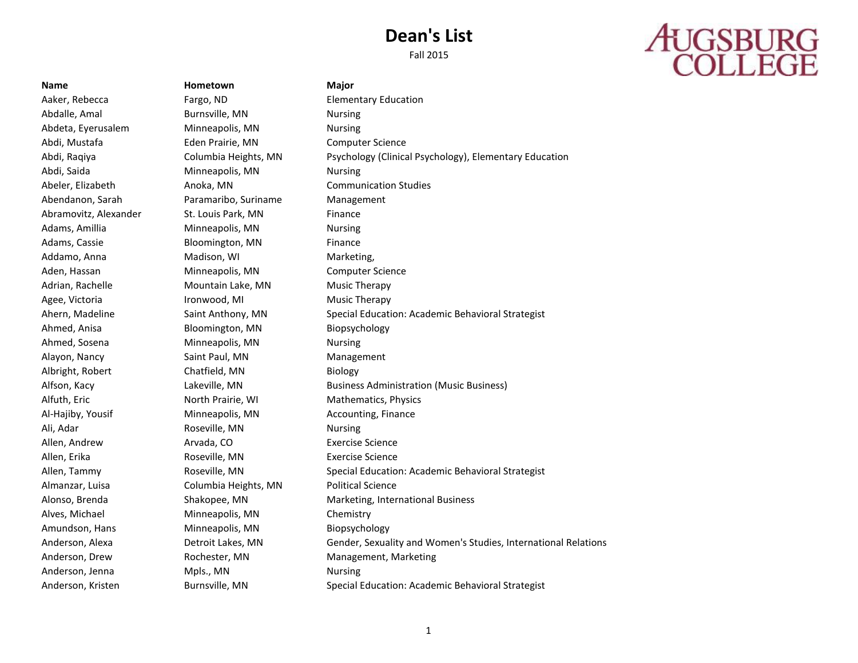# **AUGSBURG**<br>COLLEGE

**Name Hometown Major** Aaker, Rebecca Fargo, ND Elementary Education Abdalle, Amal Burnsville, MN Nursing Abdeta, Eyerusalem Minneapolis, MN Nursing Abdi, Mustafa Eden Prairie, MN Computer Science Abdi, Saida **Minneapolis, MN** Nursing Abeler, Elizabeth Anoka, MN Communication Studies Abendanon, Sarah Paramaribo, Suriname Management Abramovitz, Alexander St. Louis Park, MN Finance Adams, Amillia **Minneapolis, MN** Nursing Adams, Cassie **Bloomington, MN** Finance Addamo, Anna **Madison, WI Marketing, Maddamo, Anna** Marketing, Aden, Hassan Minneapolis, MN Computer Science Adrian, Rachelle Mountain Lake, MN Music Therapy Agee, Victoria **Ironwood, MI** Music Therapy Ahmed, Anisa Bloomington, MN Biopsychology Ahmed, Sosena **Minneapolis, MN** Nursing Alayon, Nancy **Saint Paul, MN** Management Albright, Robert Chatfield, MN Biology Alfuth, Eric North Prairie, WI Mathematics, Physics Al-Hajiby, Yousif **Minneapolis, MN** Accounting, Finance Ali, Adar **Roseville, MN** Nursing Allen, Andrew Arvada, CO Exercise Science Allen, Erika **Roseville, MN** Exercise Science Almanzar, Luisa Columbia Heights, MN Political Science Alves, Michael Minneapolis, MN Chemistry Amundson, Hans Minneapolis, MN Biopsychology Anderson, Jenna Mpls., MN Nursing

Abdi, Raqiya Columbia Heights, MN Psychology (Clinical Psychology), Elementary Education Ahern, Madeline Saint Anthony, MN Special Education: Academic Behavioral Strategist Alfson, Kacy **Lakeville, MN** Business Administration (Music Business) Allen, Tammy Roseville, MN Special Education: Academic Behavioral Strategist Alonso, Brenda Shakopee, MN Marketing, International Business Anderson, Alexa Detroit Lakes, MN Gender, Sexuality and Women's Studies, International Relations Anderson, Drew **Rochester, MN** Management, Marketing Anderson, Kristen Burnsville, MN Special Education: Academic Behavioral Strategist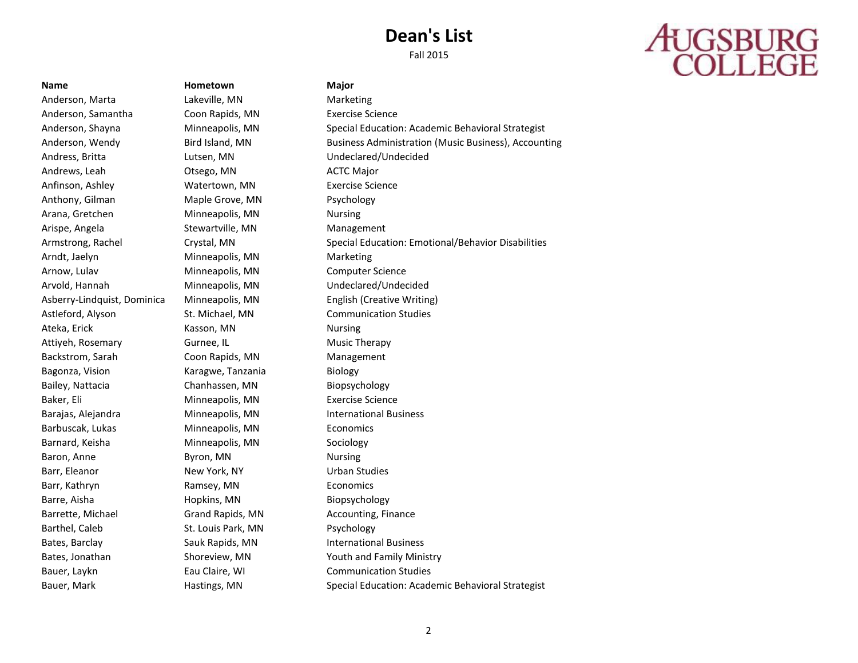Fall 2015

# **AUGSBURG**<br>COLLEGE

Anderson, Marta **Lakeville, MN** Marketing Anderson, Samantha Coon Rapids, MN Exercise Science Andress, Britta Lutsen, MN Undeclared/Undecided Andrews, Leah **Otsego, MN** ACTC Major Anfinson, Ashley **Watertown, MN** Exercise Science Anthony, Gilman Maple Grove, MN Psychology Arana, Gretchen Minneapolis, MN Nursing Arispe, Angela Stewartville, MN Management Arndt, Jaelyn Minneapolis, MN Marketing Arnow, Lulav Minneapolis, MN Computer Science Arvold, Hannah Minneapolis, MN Undeclared/Undecided Astleford, Alyson St. Michael, MN Communication Studies Ateka, Erick **Kasson, MN** Nursing Attiyeh, Rosemary **Gurnee, IL** Music Therapy Backstrom, Sarah Coon Rapids, MN Management Bagonza, Vision **Karagwe, Tanzania** Biology Bailey, Nattacia Chanhassen, MN Biopsychology Baker, Eli Minneapolis, MN Exercise Science Barajas, Alejandra Minneapolis, MN International Business Barbuscak, Lukas Minneapolis, MN Economics Barnard, Keisha **Minneapolis**, MN Sociology Baron, Anne **Byron, MN** Baron, MN Nursing Barr, Eleanor **New York, NY** Urban Studies Barr, Kathryn **Economics** Ramsey, MN Economics Barre, Aisha **Biopsychology** Hopkins, MN Biopsychology Barrette, Michael **Grand Rapids, MN** Accounting, Finance Barthel, Caleb St. Louis Park, MN Psychology Bates, Barclay **Sauk Rapids, MN** International Business Bauer, Laykn **Eau Claire, WI** Communication Studies

**Name Hometown Major**

Anderson, Shayna Minneapolis, MN Special Education: Academic Behavioral Strategist Anderson, Wendy Bird Island, MN Business Administration (Music Business), Accounting Armstrong, Rachel Crystal, MN Special Education: Emotional/Behavior Disabilities Asberry-Lindquist, Dominica Minneapolis, MN English (Creative Writing) Bates, Jonathan **Shoreview, MN** Youth and Family Ministry Bauer, Mark **Hastings, MN** Special Education: Academic Behavioral Strategist Gauer, Mark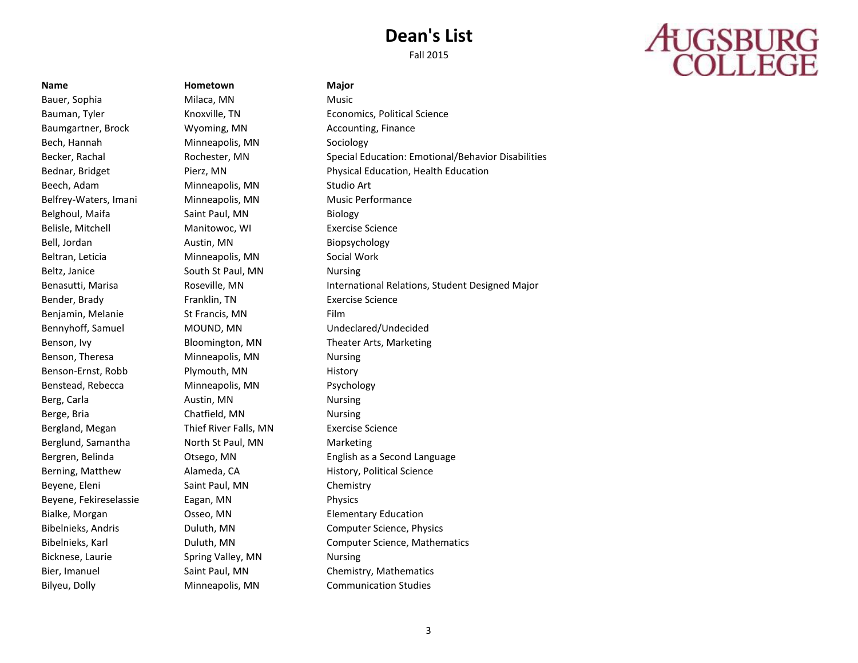Fall 2015

# **AUGSBURG**<br>COLLEGE

**Name Hometown Major**

Bauer, Sophia **Milaca**, MN Music Baumgartner, Brock **Wyoming, MN** Accounting, Finance Bech, Hannah Minneapolis, MN Sociology Beech, Adam Minneapolis, MN Studio Art Belfrey-Waters, Imani Minneapolis, MN Music Performance Belghoul, Maifa **Saint Paul, MN** Biology Belisle, Mitchell Manitowoc, WI Exercise Science Bell, Jordan **Austin, MN** Biopsychology Beltran, Leticia **Minneapolis, MN** Social Work Beltz, Janice **South St Paul, MN** Nursing Bender, Brady **Franklin, TN** Exercise Science Benjamin, Melanie St Francis, MN Film Bennyhoff, Samuel MOUND, MN Undeclared/Undecided Benson, Ivy Bloomington, MN Theater Arts, Marketing Benson, Theresa **Minneapolis, MN** Nursing Benson-Ernst, Robb Plymouth, MN History Benstead, Rebecca Minneapolis, MN Psychology Berg, Carla **Austin, MN** Nursing Berge, Bria **Chatfield, MN** Nursing Bergland, Megan Thief River Falls, MN Exercise Science Berglund, Samantha **North St Paul, MN** Marketing Berning, Matthew **Alameda, CA** History, Political Science Beyene, Eleni Saint Paul, MN Chemistry Beyene, Fekireselassie Eagan, MN Physics Bialke, Morgan Osseo, MN Elementary Education Bicknese, Laurie Spring Valley, MN Nursing Bier, Imanuel Saint Paul, MN Chemistry, Mathematics

Bauman, Tyler **Knoxville, TN** Economics, Political Science Becker, Rachal **Rochester, MN** Special Education: Emotional/Behavior Disabilities Bednar, Bridget **Pierz, MN** Physical Education, Health Education Benasutti, Marisa **Roseville, MN** International Relations, Student Designed Major Bergren, Belinda Otsego, MN English as a Second Language Bibelnieks, Andris Duluth, MN Computer Science, Physics Bibelnieks, Karl Duluth, MN Computer Science, Mathematics Bilyeu, Dolly Minneapolis, MN Communication Studies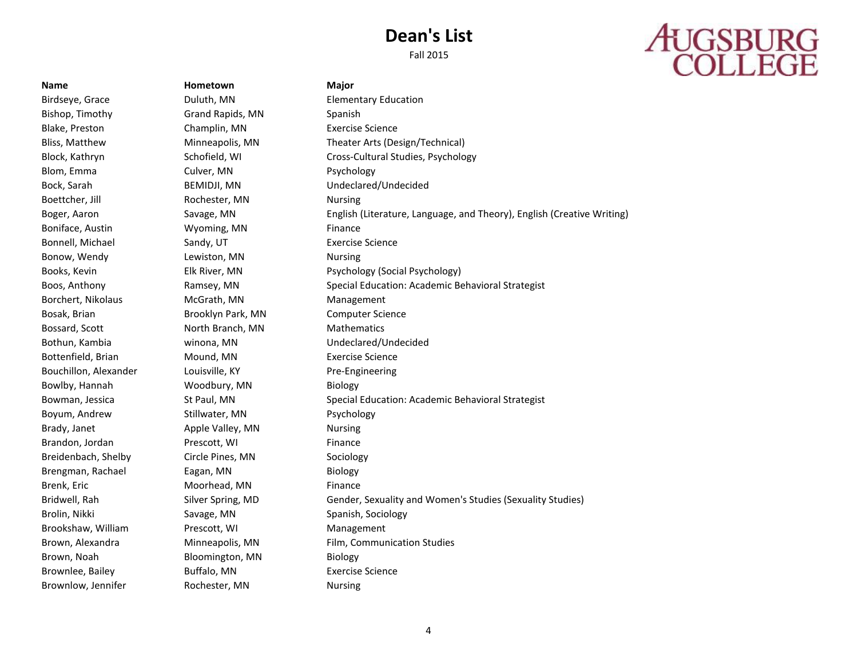Fall 2015

# **AUGSBURG**<br>COLLEGE

Birdseye, Grace Duluth, MN Elementary Education Bishop, Timothy Grand Rapids, MN Spanish Blake, Preston Champlin, MN Exercise Science Blom, Emma Culver, MN Psychology Boettcher, Jill **Rochester, MN** Nursing Boniface, Austin **Wyoming, MN** Finance Bonnell, Michael **Sandy, UT** Exercise Science Bonow, Wendy Lewiston, MN Nursing Borchert, Nikolaus **McGrath, MN** Management Bosak, Brian Brooklyn Park, MN Computer Science Bossard, Scott **North Branch, MN** Mathematics Bottenfield, Brian Mound, MN Exercise Science Bouchillon, Alexander Louisville, KY Pre-Engineering Bowlby, Hannah Woodbury, MN Biology Boyum, Andrew Stillwater, MN Psychology Brady, Janet **Apple Valley, MN** Nursing Brandon, Jordan Prescott, WI Finance Breidenbach, Shelby Circle Pines, MN Sociology Brengman, Rachael Eagan, MN Biology Brenk, Eric **Moorhead, MN** Finance Brolin, Nikki Savage, MN Spanish, Sociology Brookshaw, William Prescott, WI Management Brown, Noah Bloomington, MN Biology Brownlee, Bailey **Buffalo, MN** Exercise Science Brownlow, Jennifer Rochester, MN Nursing

**Name Hometown Major**

Bliss, Matthew Minneapolis, MN Theater Arts (Design/Technical) Block, Kathryn **Schofield, WI Cross-Cultural Studies, Psychology** Cross-Cultural Studies, Psychology Bock, Sarah BEMIDJI, MN Undeclared/Undecided Boger, Aaron Savage, MN English (Literature, Language, and Theory), English (Creative Writing) Books, Kevin **Elk River, MN** Psychology (Social Psychology) Boos, Anthony **Ramsey, MN** Special Education: Academic Behavioral Strategist Bothun, Kambia winona, MN Undeclared/Undecided Bowman, Jessica St Paul, MN Special Education: Academic Behavioral Strategist Bridwell, Rah Silver Spring, MD Gender, Sexuality and Women's Studies (Sexuality Studies) Brown, Alexandra **Minneapolis, MN** Film, Communication Studies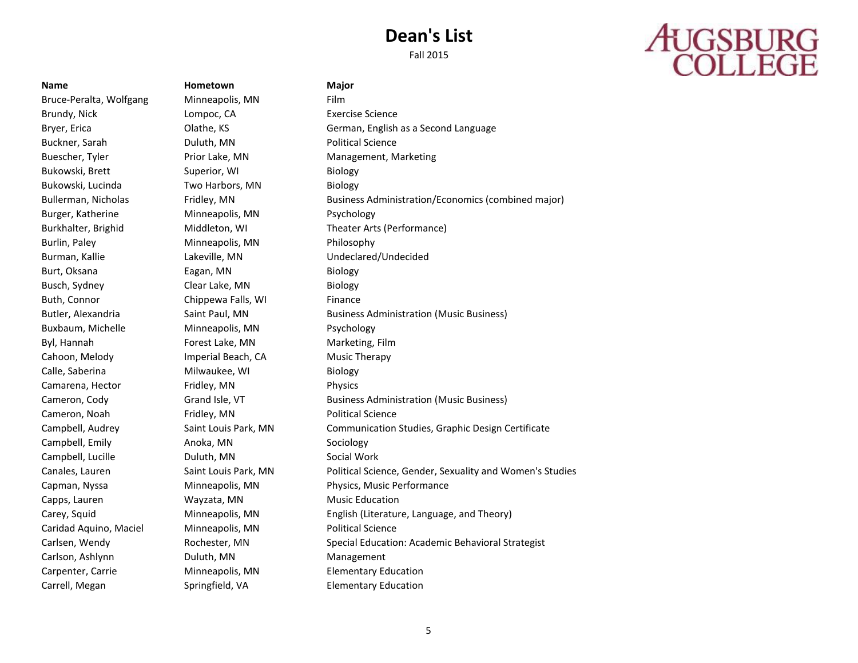Fall 2015

## **AUGSBURG**<br>COLLEGE

### **Name Hometown Major**

Bruce-Peralta, Wolfgang Minneapolis, MN Film Brundy, Nick **Lompoc, CA** Exercise Science Buckner, Sarah Duluth, MN Political Science Buescher, Tyler Prior Lake, MN Management, Marketing Bukowski, Brett Superior, WI Biology Bukowski, Lucinda Two Harbors, MN Biology Burger, Katherine Minneapolis, MN Psychology Burlin, Paley Minneapolis, MN Philosophy Burman, Kallie Lakeville, MN Undeclared/Undecided Burt, Oksana **Eagan, MN** Biology Busch, Sydney Clear Lake, MN Biology Buth, Connor **Chippewa Falls, WI** Finance Buxbaum, Michelle **Minneapolis, MN** Psychology Byl, Hannah Forest Lake, MN Marketing, Film Cahoon, Melody Imperial Beach, CA Music Therapy Calle, Saberina **Milwaukee**, WI Biology Camarena, Hector Fridley, MN Physics Cameron, Noah Fridley, MN Political Science Campbell, Emily **Anoka, MN** Sociology Campbell, Lucille **Campbell**, Lucille **Duluth, MN** Social Work Capps, Lauren Wayzata, MN Music Education Caridad Aquino, Maciel Minneapolis, MN Political Science Carlson, Ashlynn **Duluth, MN** Management Carpenter, Carrie Minneapolis, MN Elementary Education Carrell, Megan Springfield, VA Elementary Education

Bryer, Erica **Erica** Clathe, KS German, English as a Second Language Bullerman, Nicholas Fridley, MN Business Administration/Economics (combined major) Burkhalter, Brighid Middleton, WI Theater Arts (Performance) Butler, Alexandria Saint Paul, MN Business Administration (Music Business) Cameron, Cody **Grand Isle, VT** Business Administration (Music Business) Campbell, Audrey **Saint Louis Park, MN** Communication Studies, Graphic Design Certificate Canales, Lauren Saint Louis Park, MN Political Science, Gender, Sexuality and Women's Studies Capman, Nyssa Minneapolis, MN Physics, Music Performance Carey, Squid Minneapolis, MN English (Literature, Language, and Theory) Carlsen, Wendy **Rochester, MN** Special Education: Academic Behavioral Strategist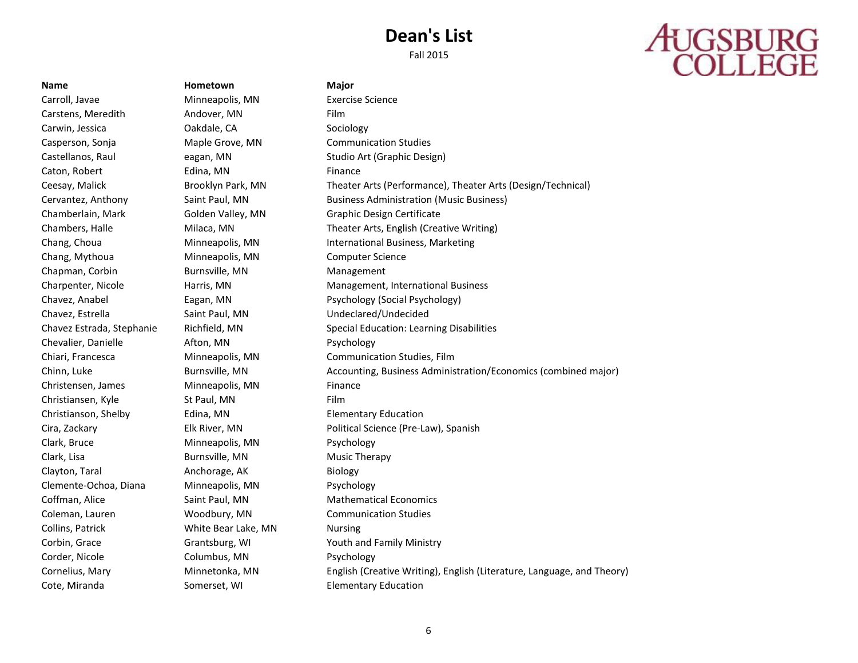# **AUGSBURG**<br>COLLEGE

Carroll, Javae Minneapolis, MN Exercise Science Carstens, Meredith **Andover, MN** Film Carwin, Jessica Oakdale, CA Sociology Casperson, Sonja Maple Grove, MN Communication Studies Caton, Robert **Edina, MN Edina** Finance Chang, Mythoua Minneapolis, MN Computer Science Chapman, Corbin **Burnsville, MN** Management Chavez, Estrella Saint Paul, MN Undeclared/Undecided Chevalier, Danielle Afton, MN Psychology Christensen, James Minneapolis, MN Finance Christiansen, Kyle St Paul, MN Film Christianson, Shelby Edina, MN Elementary Education Clark, Bruce **Minneapolis, MN** Psychology Clark, Lisa Burnsville, MN Music Therapy Clayton, Taral **Anchorage, AK** Biology Clemente-Ochoa, Diana Minneapolis, MN Psychology Coleman, Lauren Woodbury, MN Communication Studies Collins, Patrick White Bear Lake, MN Nursing Corder, Nicole **Columbus, MN** Psychology Cote, Miranda Somerset, WI Elementary Education

**Name Hometown Major**

Castellanos, Raul **Eagan, MN** Eagan, MN Studio Art (Graphic Design) Ceesay, Malick Brooklyn Park, MN Theater Arts (Performance), Theater Arts (Design/Technical) Cervantez, Anthony Saint Paul, MN Business Administration (Music Business) Chamberlain, Mark Golden Valley, MN Graphic Design Certificate Chambers, Halle Milaca, MN Theater Arts, English (Creative Writing) Chang, Choua **Minneapolis, MN** International Business, Marketing Charpenter, Nicole Harris, MN Management, International Business Chavez, Anabel Eagan, MN Psychology (Social Psychology) Chavez Estrada, Stephanie Richfield, MN Special Education: Learning Disabilities Chiari, Francesca Minneapolis, MN Communication Studies, Film Chinn, Luke Burnsville, MN Accounting, Business Administration/Economics (combined major) Cira, Zackary Elk River, MN Political Science (Pre-Law), Spanish Coffman, Alice **Saint Paul, MN** Mathematical Economics Corbin, Grace Grantsburg, WI Youth and Family Ministry Cornelius, Mary Minnetonka, MN English (Creative Writing), English (Literature, Language, and Theory)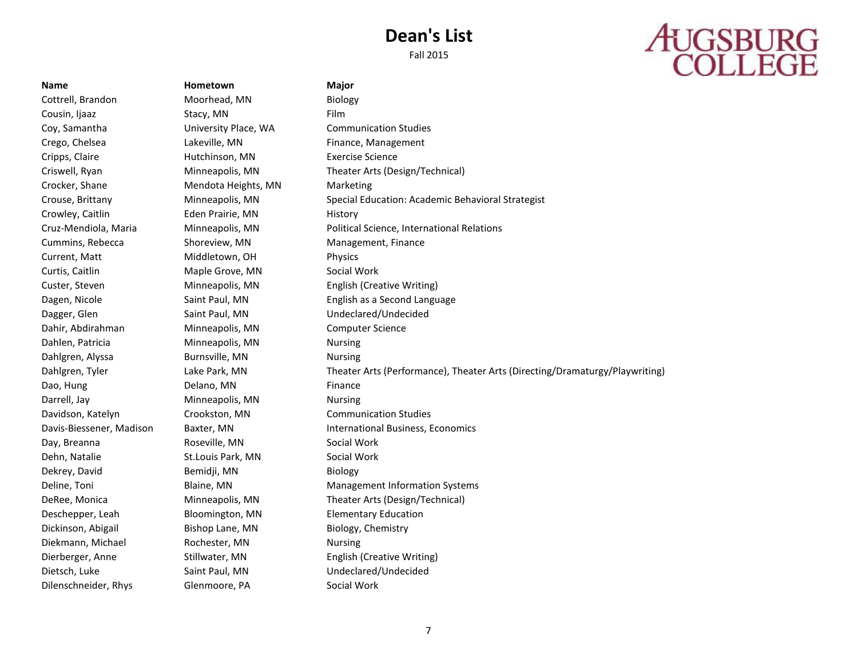# **AUGSBURG**<br>COLLEGE

Cottrell, Brandon Moorhead, MN Biology Cousin, Ijaaz Stacy, MN Film Coy, Samantha University Place, WA Communication Studies Crego, Chelsea Lakeville, MN Finance, Management Cripps, Claire Hutchinson, MN Exercise Science Crocker, Shane Mendota Heights, MN Marketing Crowley, Caitlin **Eden Prairie, MN** History Cummins, Rebecca Shoreview, MN Management, Finance Current, Matt Middletown, OH Physics Curtis, Caitlin Maple Grove, MN Social Work Custer, Steven Minneapolis, MN English (Creative Writing) Dagger, Glen Saint Paul, MN Undeclared/Undecided Dahir, Abdirahman Minneapolis, MN Computer Science Dahlen, Patricia Minneapolis, MN Nursing Dahlgren, Alyssa **Burnsville, MN** Nursing Dao, Hung **Delano**, MN Finance Darrell, Jay **Minneapolis, MN** Nursing Davidson, Katelyn Crookston, MN Communication Studies Day, Breanna **Roseville, MN** Social Work Dehn, Natalie St.Louis Park, MN Social Work Dekrey, David Bemidji, MN Biology Deschepper, Leah Bloomington, MN Elementary Education Dickinson, Abigail Bishop Lane, MN Biology, Chemistry Diekmann, Michael Rochester, MN Nursing Dierberger, Anne Stillwater, MN English (Creative Writing) Dietsch, Luke Saint Paul, MN Undeclared/Undecided

**Name Hometown Major** Dilenschneider, Rhys Glenmoore, PA Social Work

Criswell, Ryan Minneapolis, MN Theater Arts (Design/Technical) Crouse, Brittany Minneapolis, MN Special Education: Academic Behavioral Strategist Cruz-Mendiola, Maria Minneapolis, MN Political Science, International Relations Dagen, Nicole **Saint Paul, MN** English as a Second Language **Second Language** Dahlgren, Tyler Lake Park, MN Theater Arts (Performance), Theater Arts (Directing/Dramaturgy/Playwriting) Davis-Biessener, Madison Baxter, MN International Business, Economics Deline, Toni **Blaine, MN** Management Information Systems DeRee, Monica Minneapolis, MN Theater Arts (Design/Technical)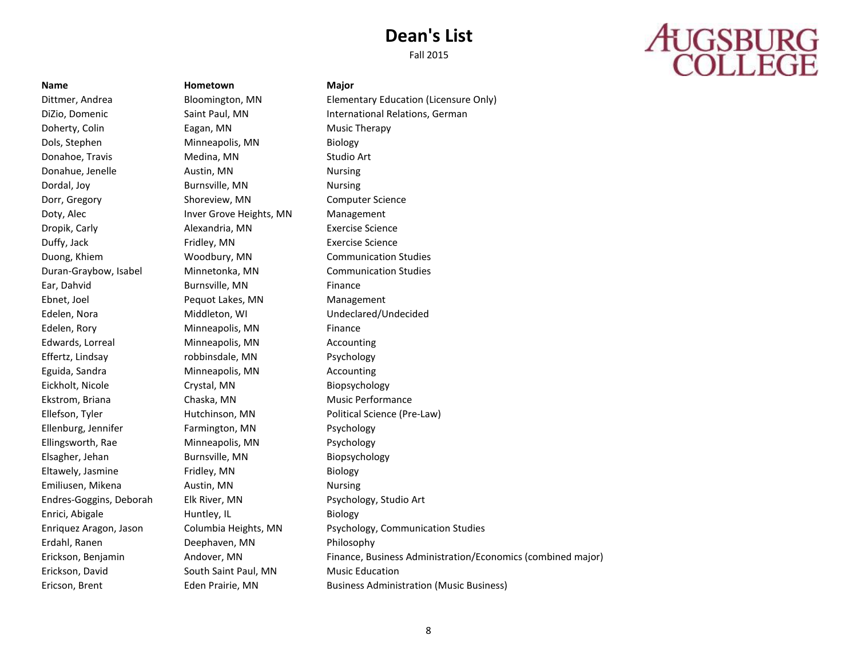Fall 2015

# **AUGSBURG**<br>COLLEGE

Doherty, Colin Eagan, MN Music Therapy Dols, Stephen Minneapolis, MN Biology Donahoe, Travis **Medina**, MN Studio Art Donahue, Jenelle **Austin, MN** Nursing Dordal, Joy **Burnsville, MN** Nursing Dorr, Gregory **Shoreview, MN** Computer Science Doty, Alec **Inver Grove Heights, MN** Management Dropik, Carly **Alexandria, MN** Exercise Science Duffy, Jack Fridley, MN Exercise Science Duong, Khiem Woodbury, MN Communication Studies Duran-Graybow, Isabel Minnetonka, MN Communication Studies Ear, Dahvid **Burnsville, MN Example 2** Finance Ebnet, Joel **Pequot Lakes, MN** Management Edelen, Nora Middleton, WI Undeclared/Undecided Edelen, Rory **Minneapolis, MN** Finance Edwards, Lorreal Minneapolis, MN Accounting Effertz, Lindsay robbinsdale, MN Psychology Eguida, Sandra **Minneapolis, MN** Accounting Eickholt, Nicole Crystal, MN Biopsychology Ekstrom, Briana Chaska, MN Music Performance Ellenburg, Jennifer Farmington, MN Psychology Ellingsworth, Rae Minneapolis, MN Psychology Elsagher, Jehan Burnsville, MN Biopsychology Eltawely, Jasmine Fridley, MN Biology Emiliusen, Mikena **Austin**, MN Nursing Endres-Goggins, Deborah Elk River, MN Psychology, Studio Art Enrici, Abigale **Huntley, IL** Biology Erdahl, Ranen Deephaven, MN Philosophy Erickson, David South Saint Paul, MN Music Education

**Name Hometown Major**

Dittmer, Andrea Bloomington, MN Elementary Education (Licensure Only) DiZio, Domenic Saint Paul, MN International Relations, German Ellefson, Tyler Hutchinson, MN Political Science (Pre-Law) Enriquez Aragon, Jason Columbia Heights, MN Psychology, Communication Studies Erickson, Benjamin Andover, MN Finance, Business Administration/Economics (combined major) Ericson, Brent Eden Prairie, MN Business Administration (Music Business)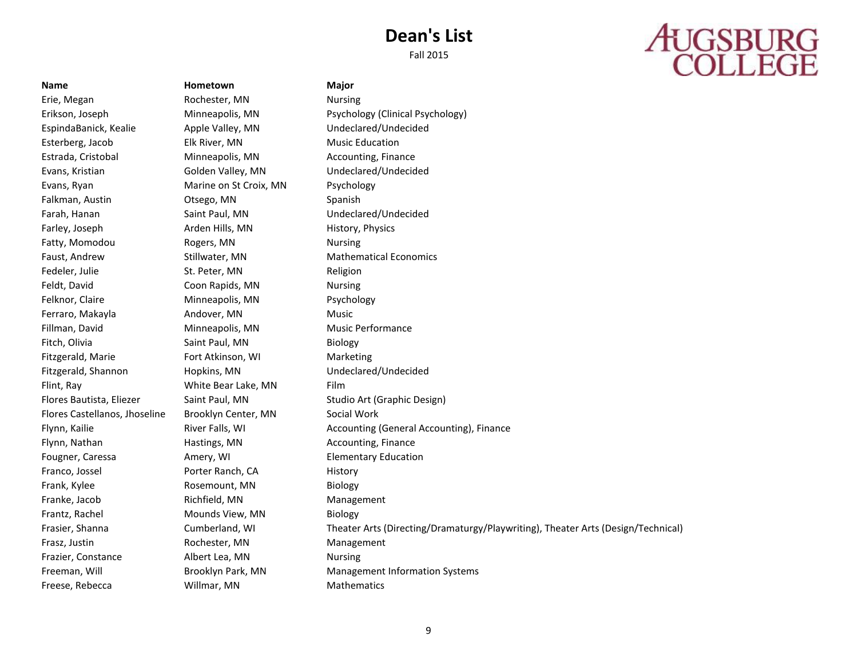Fall 2015

# **AUGSBURG**<br>COLLEGE

**Name Hometown Major**

Erie, Megan Rochester, MN Nursing Esterberg, Jacob Elk River, MN Music Education Estrada, Cristobal Minneapolis, MN Accounting, Finance Evans, Ryan Marine on St Croix, MN Psychology Falkman, Austin **Calledge, Calledge, Calledge, MN** Spanish Farley, Joseph **Arden Hills, MN** History, Physics Fatty, Momodou Rogers, MN Nursing Fedeler, Julie St. Peter, MN Religion Feldt, David Coon Rapids, MN Nursing Felknor, Claire **Minneapolis**, MN Psychology Ferraro, Makayla **Andover, MN** Music Fillman, David **Minneapolis, MN** Music Performance Fitch, Olivia Saint Paul, MN Biology Fitzgerald, Marie **Fort Atkinson, WI** Marketing Flint, Ray **Example 20** White Bear Lake, MN Film Flores Castellanos, Jhoseline Brooklyn Center, MN Social Work Flynn, Nathan **Hastings, MN** Accounting, Finance Franco, Jossel **Porter Ranch, CA** History Frank, Kylee **Rosemount, MN** Biology Franke, Jacob Richfield, MN Management Frantz, Rachel **Mounds View, MN** Biology Frasz, Justin **Rochester, MN** Management Frazier, Constance **Albert Lea, MN** Nursing Freese, Rebecca **Willmar, MN** Mathematics

Erikson, Joseph Minneapolis, MN Psychology (Clinical Psychology) EspindaBanick, Kealie Apple Valley, MN Undeclared/Undecided Evans, Kristian Golden Valley, MN Undeclared/Undecided Farah, Hanan **Saint Paul, MN** Undeclared/Undecided Faust, Andrew Stillwater, MN Mathematical Economics Fitzgerald, Shannon Hopkins, MN Undeclared/Undecided Flores Bautista, Eliezer Saint Paul, MN Studio Art (Graphic Design) Flynn, Kailie **River Falls, WI Accounting (General Accounting)**, Finance Fougner, Caressa **Amery, WI** Elementary Education Frasier, Shanna Cumberland, WI Theater Arts (Directing/Dramaturgy/Playwriting), Theater Arts (Design/Technical) Freeman, Will Brooklyn Park, MN Management Information Systems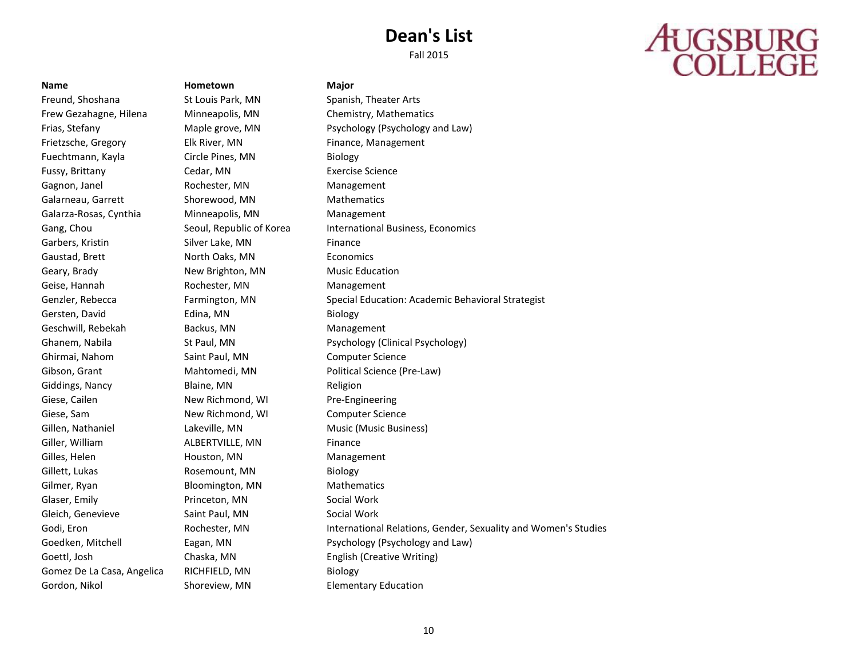Fall 2015

# **AUGSBURG**<br>COLLEGE

**Name Hometown Major**

Freund, Shoshana St Louis Park, MN Spanish, Theater Arts Frietzsche, Gregory Elk River, MN Finance, Management Fuechtmann, Kayla Circle Pines, MN Biology Fussy, Brittany Cedar, MN Exercise Science Gagnon, Janel **Rochester, MN** Management Galarneau, Garrett Shorewood, MN Mathematics Galarza-Rosas, Cynthia Minneapolis, MN Management Garbers, Kristin **Silver Lake, MN** Finance Gaustad, Brett **North Oaks, MN** Economics Geary, Brady **New Brighton, MN** Music Education Geise, Hannah **Rochester, MN** Management Gersten, David **Edina**, MN Biology Geschwill, Rebekah Backus, MN Management Ghirmai, Nahom Saint Paul, MN Computer Science Giddings, Nancy Blaine, MN Blaine, MN Giese, Cailen **New Richmond, WI** Pre-Engineering Giese, Sam **New Richmond, WI Computer Science** Gillen, Nathaniel Lakeville, MN Music (Music Business) Giller, William **ALBERTVILLE, MN** Finance Gilles, Helen **Houston, MN** Management Gillett, Lukas Rosemount, MN Biology Gilmer, Ryan Bloomington, MN Mathematics Glaser, Emily **Princeton, MN** Social Work Gleich, Genevieve Saint Paul, MN Social Work Gomez De La Casa, Angelica RICHFIELD, MN Biology

Frew Gezahagne, Hilena Minneapolis, MN Chemistry, Mathematics Frias, Stefany **Example 20** Maple grove, MN Psychology (Psychology and Law) Gang, Chou Seoul, Republic of Korea International Business, Economics Genzler, Rebecca Farmington, MN Special Education: Academic Behavioral Strategist Ghanem, Nabila **St Paul, MN** Psychology (Clinical Psychology) Gibson, Grant **Mahtomedi, MN** Political Science (Pre-Law) Godi, Eron **Eron Rochester, MN** International Relations, Gender, Sexuality and Women's Studies Goedken, Mitchell Eagan, MN Psychology (Psychology and Law) Goettl, Josh Chaska, MN English (Creative Writing) Gordon, Nikol Shoreview, MN Elementary Education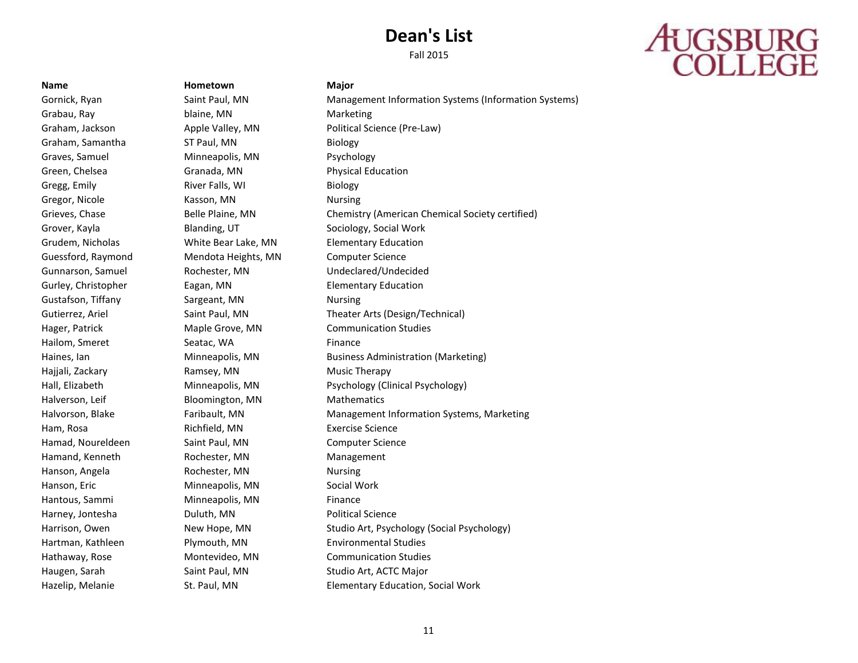## **AUGSBURG**<br>COLLEGE

**Name Hometown Major** Grabau, Ray **blaine**, MN Marketing Graham, Samantha ST Paul, MN Biology Graves, Samuel Minneapolis, MN Psychology Green, Chelsea **Granada, MN Constructs** Physical Education Gregg, Emily **River Falls**, WI **Biology** Gregor, Nicole **Kasson, MN** Nursing Grover, Kayla **Blanding, UT** Sociology, Social Work Grudem, Nicholas White Bear Lake, MN Elementary Education Guessford, Raymond Mendota Heights, MN Computer Science Gurley, Christopher **Eagan, MN** Elementary Education Gustafson, Tiffany **Sargeant, MN** Nursing Hailom, Smeret Seatac, WA Finance Hajjali, Zackary Ramsey, MN Music Therapy Halverson, Leif Bloomington, MN Mathematics Ham, Rosa **Richfield, MN** Exercise Science Hamad, Noureldeen Saint Paul, MN Computer Science Hamand, Kenneth Rochester, MN Management Hanson, Angela Rochester, MN Nursing Hanson, Eric **Minneapolis, MN** Social Work Hantous, Sammi Minneapolis, MN Finance Harney, Jontesha **Duluth, MN** Political Science Hartman, Kathleen Plymouth, MN Environmental Studies

Gornick, Ryan Saint Paul, MN Management Information Systems (Information Systems) Graham, Jackson **Apple Valley, MN** Political Science (Pre-Law) Grieves, Chase **Belle Plaine, MN** Chemistry (American Chemical Society certified) Gunnarson, Samuel Rochester, MN Undeclared/Undecided Gutierrez, Ariel Saint Paul, MN Theater Arts (Design/Technical) Hager, Patrick **Maple Grove, MN** Communication Studies Haines, Ian Minneapolis, MN Business Administration (Marketing) Hall, Elizabeth Minneapolis, MN Psychology (Clinical Psychology) Halvorson, Blake **Faribault, MN** Management Information Systems, Marketing Harrison, Owen New Hope, MN Studio Art, Psychology (Social Psychology) Hathaway, Rose Montevideo, MN Communication Studies Haugen, Sarah Saint Paul, MN Studio Art, ACTC Major Hazelip, Melanie **St. Paul, MN** Elementary Education, Social Work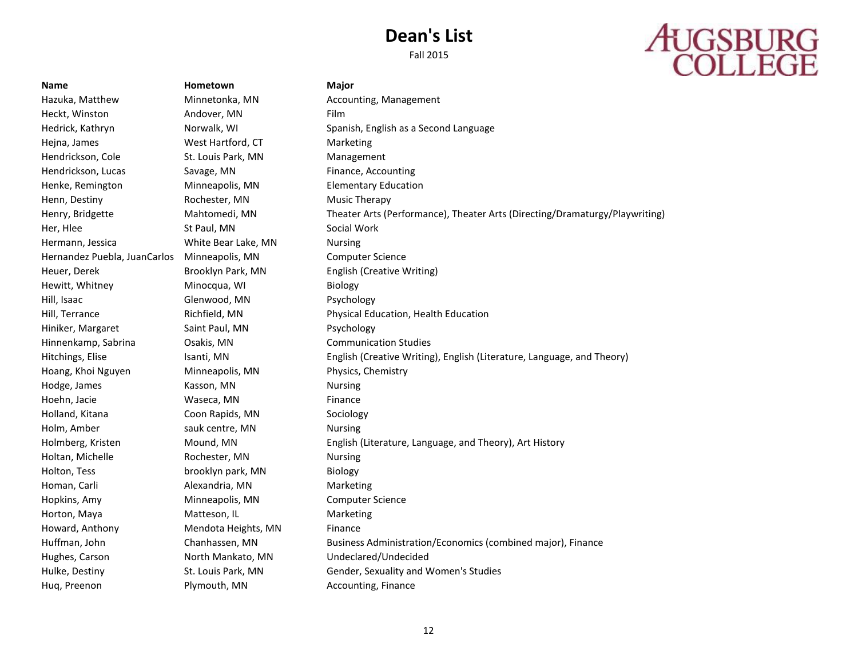# **AUGSBURG**<br>COLLEGE

**Name Hometown Major** Heckt, Winston **Andover, MN** Film Hejna, James West Hartford, CT Marketing Hendrickson, Cole St. Louis Park, MN Management Hendrickson, Lucas Savage, MN Finance, Accounting Henke, Remington Minneapolis, MN Elementary Education Henn, Destiny Rochester, MN Music Therapy Her, Hlee St Paul, MN Social Work Hermann, Jessica White Bear Lake, MN Nursing Hernandez Puebla, JuanCarlos Minneapolis, MN Computer Science Heuer, Derek Brooklyn Park, MN English (Creative Writing) Hewitt, Whitney **Minocqua, WI Biology** Hill, Isaac Glenwood, MN Psychology Hiniker, Margaret Saint Paul, MN Psychology Hinnenkamp, Sabrina Osakis, MN Communication Studies Hoang, Khoi Nguyen Minneapolis, MN Physics, Chemistry Hodge, James **Kasson, MN** Nursing Hoehn, Jacie **Maseca, MN** Finance Holland, Kitana Coon Rapids, MN Sociology Holm, Amber Sauk centre, MN Nursing Holtan, Michelle Rochester, MN Nursing Holton, Tess brooklyn park, MN Biology Homan, Carli **Alexandria**, MN Marketing Hopkins, Amy Minneapolis, MN Computer Science Horton, Maya Matteson, IL Marketing Howard, Anthony **Mendota Heights, MN** Finance Hughes, Carson North Mankato, MN Undeclared/Undecided Hug, Preenon **Plymouth, MN** Accounting, Finance

Hazuka, Matthew Minnetonka, MN Accounting, Management Hedrick, Kathryn Norwalk, WI Spanish, English as a Second Language Henry, Bridgette Mahtomedi, MN Theater Arts (Performance), Theater Arts (Directing/Dramaturgy/Playwriting) Hill, Terrance Richfield, MN Physical Education, Health Education Hitchings, Elise Isanti, MN English (Creative Writing), English (Literature, Language, and Theory) Holmberg, Kristen Mound, MN English (Literature, Language, and Theory), Art History Huffman, John Chanhassen, MN Business Administration/Economics (combined major), Finance Hulke, Destiny St. Louis Park, MN Gender, Sexuality and Women's Studies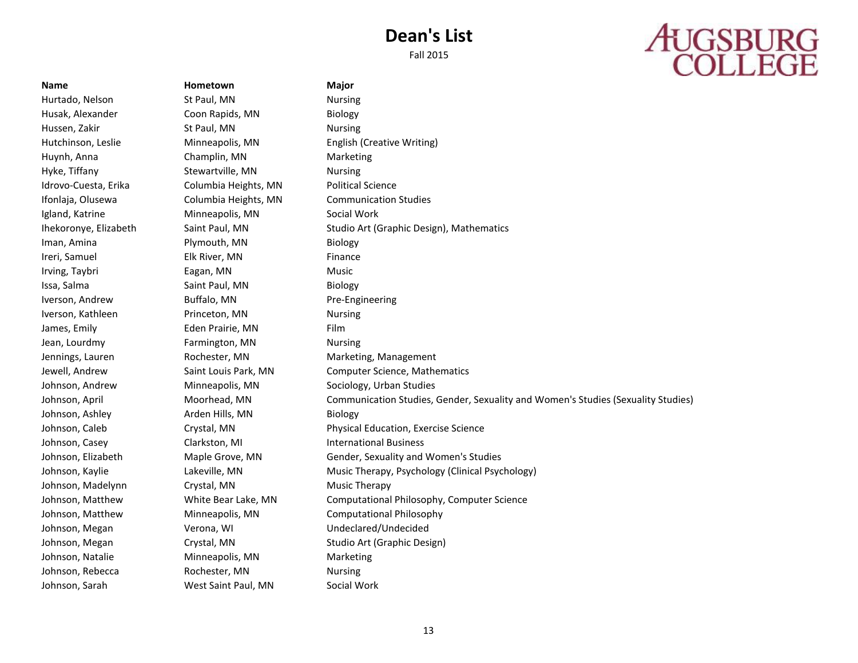## **AUGSBURG**<br>COLLEGE

Johnson, Sarah West Saint Paul, MN Social Work

**Name Hometown Major** Hurtado, Nelson St Paul, MN Nursing Husak, Alexander Coon Rapids, MN Biology Hussen, Zakir St Paul, MN Nursing Hutchinson, Leslie Minneapolis, MN English (Creative Writing) Huynh, Anna Champlin, MN Marketing Hyke, Tiffany **Stewartville, MN** Nursing Idrovo-Cuesta, Erika Columbia Heights, MN Political Science Ifonlaja, Olusewa Columbia Heights, MN Communication Studies Igland, Katrine Minneapolis, MN Social Work Iman, Amina **Plymouth, MN** Biology Ireri, Samuel **Elk River, MN** Finance Irving, Taybri **Eagan, MN** Eagan, MN Issa, Salma Saint Paul, MN Biology Iverson, Andrew Buffalo, MN Pre-Engineering Iverson, Kathleen Princeton, MN Nursing James, Emily **Eden Prairie, MN** Film Jean, Lourdmy Farmington, MN Nursing Jennings, Lauren Rochester, MN Marketing, Management Johnson, Andrew Minneapolis, MN Sociology, Urban Studies Johnson, Ashley **Arden Hills, MN** Biology Johnson, Casey Clarkston, MI International Business Johnson, Madelynn Crystal, MN Music Therapy Johnson, Megan Verona, WI Undeclared/Undecided Johnson, Natalie Minneapolis, MN Marketing Johnson, Rebecca **Rochester, MN** Nursing

Ihekoronye, Elizabeth Saint Paul, MN Studio Art (Graphic Design), Mathematics Jewell, Andrew Saint Louis Park, MN Computer Science, Mathematics Johnson, April Moorhead, MN Communication Studies, Gender, Sexuality and Women's Studies (Sexuality Studies) Johnson, Caleb Crystal, MN Physical Education, Exercise Science Johnson, Elizabeth Maple Grove, MN Gender, Sexuality and Women's Studies Johnson, Kaylie **Lakeville, MN** Music Therapy, Psychology (Clinical Psychology) Johnson, Matthew White Bear Lake, MN Computational Philosophy, Computer Science Johnson, Matthew Minneapolis, MN Computational Philosophy Johnson, Megan Crystal, MN Studio Art (Graphic Design)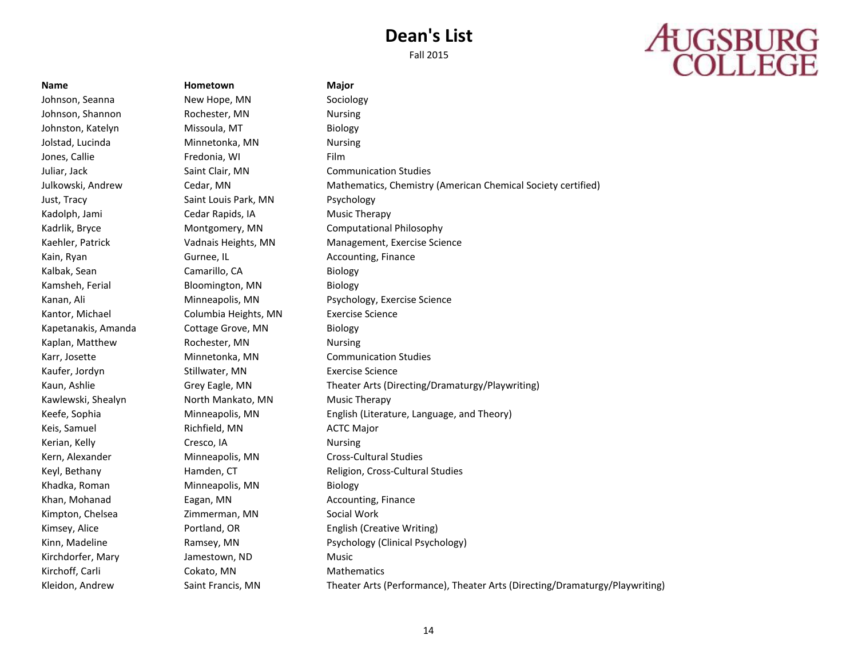# **AUGSBURG**<br>COLLEGE

**Name Hometown Major** Johnson, Seanna New Hope, MN Sociology Johnson, Shannon Rochester, MN Nursing Johnston, Katelyn Missoula, MT Biology Jolstad, Lucinda **Minnetonka**, MN Nursing Jones, Callie **Fredonia**, WI Film Juliar, Jack Saint Clair, MN Communication Studies Just, Tracy Saint Louis Park, MN Psychology Kadolph, Jami Cedar Rapids, IA Music Therapy Kain, Ryan Gurnee, IL Accounting, Finance Kalbak, Sean Camarillo, CA Biology Kamsheh, Ferial Bloomington, MN Biology Kantor, Michael Columbia Heights, MN Exercise Science Kapetanakis, Amanda Cottage Grove, MN Biology Kaplan, Matthew Rochester, MN Nursing Karr, Josette Minnetonka, MN Communication Studies Kaufer, Jordyn Stillwater, MN Exercise Science Kawlewski, Shealyn **North Mankato, MN** Music Therapy Keis, Samuel **Richfield, MN** ACTC Major Kerian, Kelly **Cresco, IA** Cresco, IA Nursing Kern, Alexander Minneapolis, MN Cross-Cultural Studies Khadka, Roman Minneapolis, MN Biology Khan, Mohanad **Eagan, MN** Accounting, Finance Kimpton, Chelsea **Zimmerman, MN** Social Work Kirchdorfer, Mary **Jamestown, ND** Music Kirchoff, Carli Cokato, MN Mathematics

Julkowski, Andrew Cedar, MN Mathematics, Chemistry (American Chemical Society certified) Kadrlik, Bryce **Montgomery, MN** Computational Philosophy Kaehler, Patrick Vadnais Heights, MN Management, Exercise Science Kanan, Ali **Minneapolis, MN** Psychology, Exercise Science Kaun, Ashlie Grey Eagle, MN Theater Arts (Directing/Dramaturgy/Playwriting) Keefe, Sophia Minneapolis, MN English (Literature, Language, and Theory) Keyl, Bethany **Hamden, CT** Religion, Cross-Cultural Studies Kimsey, Alice **Portland, OR** English (Creative Writing) Kinn, Madeline **Ramsey, MN** Psychology (Clinical Psychology) Kleidon, Andrew Saint Francis, MN Theater Arts (Performance), Theater Arts (Directing/Dramaturgy/Playwriting)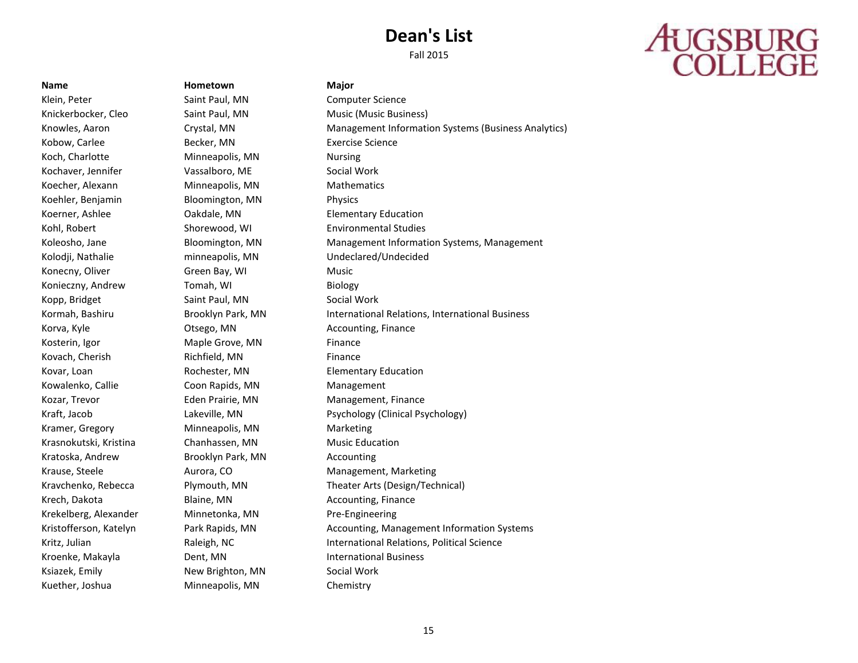# **AUGSBURG**<br>COLLEGE

### **Name Hometown Major**

Klein, Peter **Saint Paul, MN** Computer Science Knickerbocker, Cleo Saint Paul, MN Music (Music Business) Kobow, Carlee **Becker, MN** Exercise Science Koch, Charlotte **Minneapolis, MN** Nursing Kochaver, Jennifer **Vassalboro, ME** Social Work Koecher, Alexann Minneapolis, MN Mathematics Koehler, Benjamin Bloomington, MN Physics Koerner, Ashlee **Cakdale, MN** Elementary Education Kohl, Robert **Shorewood, WI** Environmental Studies Kolodji, Nathalie minneapolis, MN Undeclared/Undecided Konecny, Oliver Green Bay, WI Music Konieczny, Andrew Tomah, WI Biology Kopp, Bridget Saint Paul, MN Social Work Korva, Kyle **Communist Contract Contract Contract Contract Contract Contract Contract Contract Contract Contract Contract Contract Contract Contract Contract Contract Contract Contract Contract Contract Contract Contract C** Kosterin, Igor **Maple Grove, MN** Finance Kovach, Cherish Richfield, MN Finance Kovar, Loan **Rochester, MN** Elementary Education Kowalenko, Callie Coon Rapids, MN Management Kozar, Trevor **Eden Prairie, MN** Management, Finance Kramer, Gregory **Minneapolis, MN** Marketing Krasnokutski, Kristina Chanhassen, MN Music Education Kratoska, Andrew Brooklyn Park, MN Accounting Krech, Dakota **Blaine, MN** Accounting, Finance Krekelberg, Alexander Minnetonka, MN Pre-Engineering Kroenke, Makayla **International Business** Dent, MN **International Business** Ksiazek, Emily **New Brighton, MN** Social Work Kuether, Joshua Minneapolis, MN Chemistry

Knowles, Aaron Crystal, MN Management Information Systems (Business Analytics) Koleosho, Jane **Bloomington, MN** Management Information Systems, Management Kormah, Bashiru **Brooklyn Park, MN** International Relations, International Business Kraft, Jacob Lakeville, MN Psychology (Clinical Psychology) Krause, Steele **Aurora, CO** Management, Marketing Kravchenko, Rebecca Plymouth, MN Theater Arts (Design/Technical) Kristofferson, Katelyn **Park Rapids, MN Accounting, Management Information Systems** Kritz, Julian **Raleigh, NC** International Relations, Political Science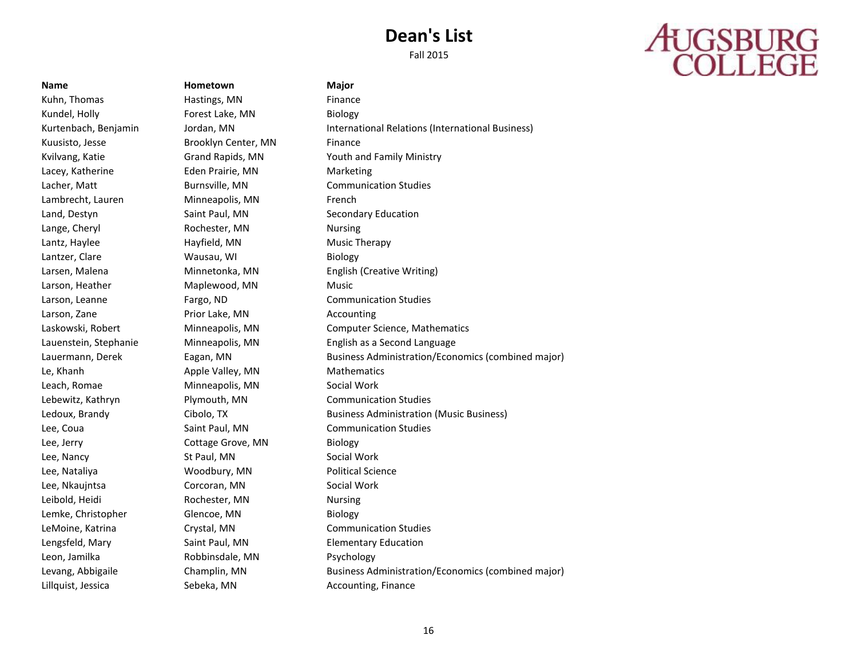## **AUGSBURG**<br>COLLEGE

Kuhn, Thomas **Hastings, MN** Finance Kundel, Holly **Forest Lake, MN** Biology Kuusisto, Jesse Brooklyn Center, MN Finance Lacey, Katherine Eden Prairie, MN Marketing Lambrecht, Lauren Minneapolis, MN French Land, Destyn Saint Paul, MN Secondary Education Lange, Cheryl **Rochester**, MN Nursing Lantz, Haylee Hayfield, MN Music Therapy Lantzer, Clare Wausau, WI Biology Larson, Heather Maplewood, MN Music Larson, Zane **Prior Lake, MN** Accounting Le, Khanh Apple Valley, MN Mathematics Leach, Romae **Minneapolis, MN** Social Work Lee, Jerry **Cottage Grove, MN** Biology Lee, Nancy St Paul, MN Social Work Lee, Nataliya Woodbury, MN Political Science Lee, Nkaujntsa Corcoran, MN Social Work Leibold, Heidi Rochester, MN Nursing Lemke, Christopher Glencoe, MN Biology Lengsfeld, Mary Saint Paul, MN Elementary Education Leon, Jamilka Robbinsdale, MN Psychology Lillquist, Jessica **Sebeka, MN** Accounting, Finance

**Name Hometown Major**

Kurtenbach, Benjamin Jordan, MN International Relations (International Business) Kvilvang, Katie Grand Rapids, MN Youth and Family Ministry Lacher, Matt Burnsville, MN Communication Studies Larsen, Malena Minnetonka, MN English (Creative Writing) Larson, Leanne Fargo, ND Communication Studies Laskowski, Robert Minneapolis, MN Computer Science, Mathematics Lauenstein, Stephanie Minneapolis, MN English as a Second Language Lauermann, Derek Eagan, MN Business Administration/Economics (combined major) Lebewitz, Kathryn Plymouth, MN Communication Studies Ledoux, Brandy Cibolo, TX Business Administration (Music Business) Lee, Coua Saint Paul, MN Communication Studies LeMoine, Katrina Crystal, MN Communication Studies Levang, Abbigaile Champlin, MN Business Administration/Economics (combined major)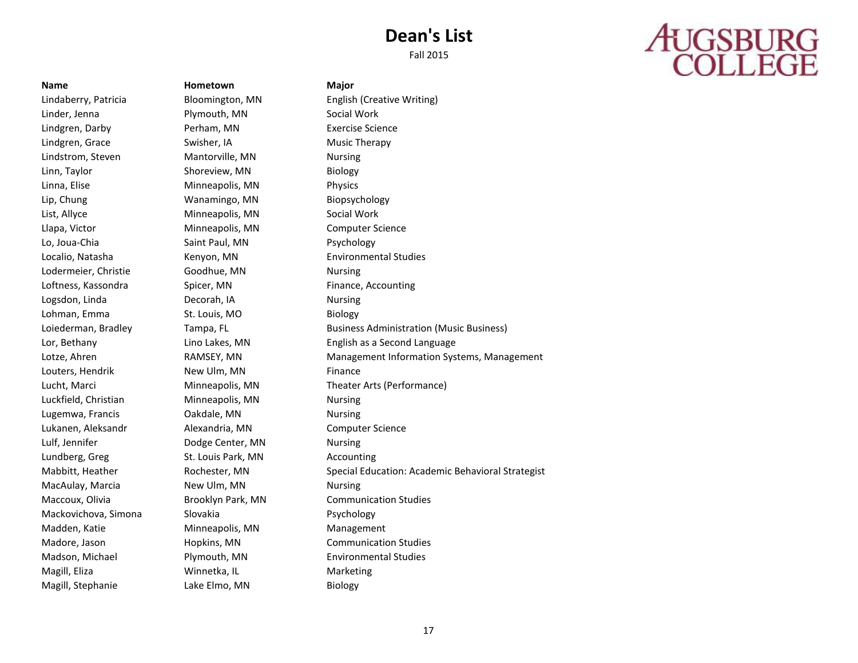## **AUGSBURG**<br>COLLEGE

Linder, Jenna Plymouth, MN Social Work Lindgren, Darby Perham, MN Exercise Science Lindgren, Grace Swisher, IA Music Therapy Lindstrom, Steven Mantorville, MN Nursing Linn, Taylor **Shoreview, MN** Biology Linna, Elise **Minneapolis**, MN Physics Lip, Chung Wanamingo, MN Biopsychology List, Allyce **Minneapolis**, MN Social Work Llapa, Victor Minneapolis, MN Computer Science Lo, Joua-Chia **Saint Paul, MN** Psychology Localio, Natasha Kenyon, MN Environmental Studies Lodermeier, Christie Goodhue, MN Nursing Loftness, Kassondra Spicer, MN Finance, Accounting Logsdon, Linda Decorah, IA Nursing Lohman, Emma St. Louis, MO Biology Louters, Hendrik New Ulm, MN Finance Luckfield, Christian Minneapolis, MN Nursing Lugemwa, Francis **Cakdale, MN** Nursing Lukanen, Aleksandr Alexandria, MN Computer Science Lulf, Jennifer **Dodge Center, MN** Nursing Lundberg, Greg St. Louis Park, MN Accounting MacAulay, Marcia **New Ulm, MN** Nursing Maccoux, Olivia Brooklyn Park, MN Communication Studies Mackovichova, Simona Slovakia Psychology Madden, Katie Minneapolis, MN Management Madore, Jason Hopkins, MN Communication Studies Madson, Michael Plymouth, MN Environmental Studies Magill, Eliza Winnetka, IL Marketing Magill, Stephanie Lake Elmo, MN Biology

**Name Hometown Major**

Lindaberry, Patricia Bloomington, MN English (Creative Writing) Loiederman, Bradley Tampa, FL Business Administration (Music Business) Lor, Bethany Lino Lakes, MN English as a Second Language Lotze, Ahren **RAMSEY, MN** Management Information Systems, Management Lucht, Marci Minneapolis, MN Theater Arts (Performance) Mabbitt, Heather **Rochester, MN** Special Education: Academic Behavioral Strategist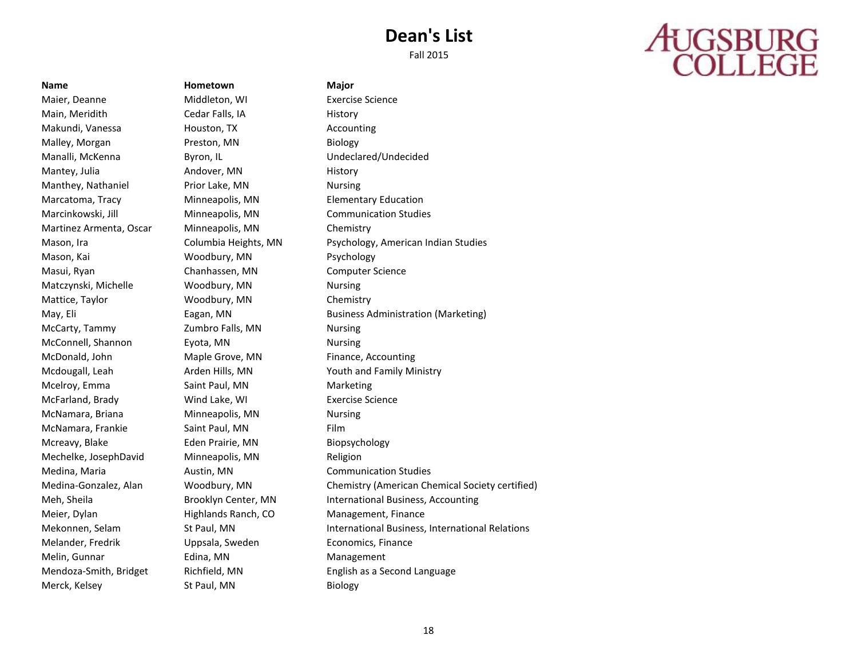# **AUGSBURG**<br>COLLEGE

Maier, Deanne Middleton, WI Exercise Science Main, Meridith Cedar Falls, IA History Makundi, Vanessa Houston, TX Accounting Malley, Morgan **Preston, MN** Biology Manalli, McKenna **Byron, IL** Byron, IL Undeclared/Undecided Mantey, Julia **Andover, MN** History Manthey, Nathaniel Prior Lake, MN Nursing Marcatoma, Tracy Minneapolis, MN Elementary Education Marcinkowski, Jill Minneapolis, MN Communication Studies Martinez Armenta, Oscar Minneapolis, MN Chemistry Mason, Kai Woodbury, MN Psychology Masui, Ryan Chanhassen, MN Computer Science Matczynski, Michelle Woodbury, MN Nursing Mattice, Taylor **Mattice, Taylor** Woodbury, MN Chemistry McCarty, Tammy **Zumbro Falls, MN** Nursing McConnell, Shannon Eyota, MN Nursing McDonald, John Maple Grove, MN Finance, Accounting Mcelroy, Emma Saint Paul, MN Marketing McFarland, Brady Wind Lake, WI Exercise Science McNamara, Briana Minneapolis, MN Nursing McNamara, Frankie Saint Paul, MN Film Mcreavy, Blake Eden Prairie, MN Biopsychology Mechelke, JosephDavid Minneapolis, MN Religion Medina, Maria **Austin, MN** Communication Studies Meier, Dylan Highlands Ranch, CO Management, Finance Melander, Fredrik Uppsala, Sweden Economics, Finance Melin, Gunnar **Edina**, MN Management Merck, Kelsey St Paul, MN Biology

**Name Hometown Major**

Mason, Ira Columbia Heights, MN Psychology, American Indian Studies May, Eli **Eagan, MN** Business Administration (Marketing) **Eagan**, MN Mcdougall, Leah Arden Hills, MN Youth and Family Ministry Medina-Gonzalez, Alan Woodbury, MN Chemistry (American Chemical Society certified) Meh, Sheila **Brooklyn Center, MN** International Business, Accounting Mekonnen, Selam St Paul, MN International Business, International Relations Mendoza-Smith, Bridget Richfield, MN English as a Second Language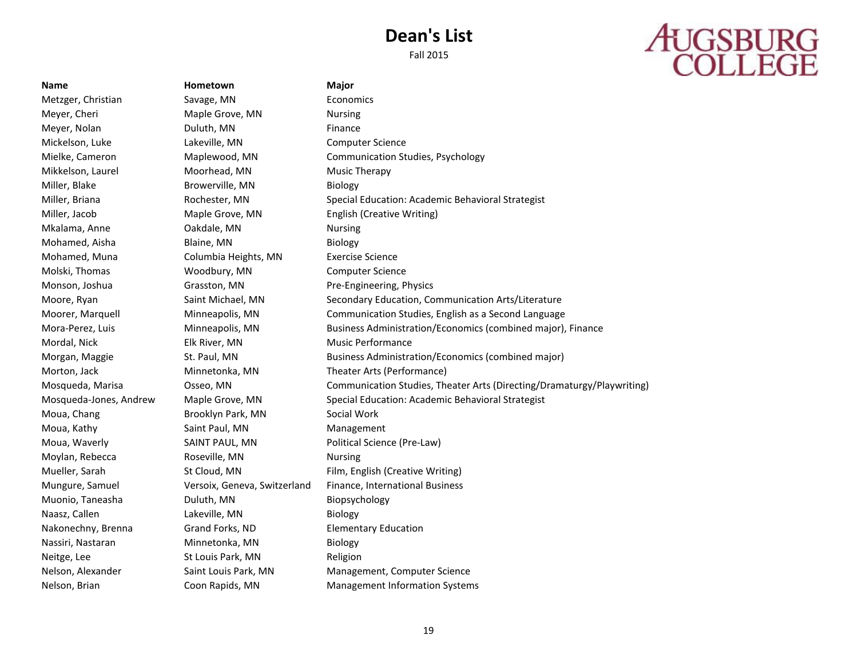# **AUGSBURG**<br>COLLEGE

**Name Hometown Major** Metzger, Christian Savage, MN Economics Meyer, Cheri **Maple Grove, MN** Nursing Meyer, Nolan **Duluth, MN Example 2** Finance Mickelson, Luke Lakeville, MN Computer Science Mielke, Cameron Maplewood, MN Communication Studies, Psychology Mikkelson, Laurel Moorhead, MN Music Therapy Miller, Blake Browerville, MN Biology Miller, Briana Rochester, MN Special Education: Academic Behavioral Strategist Miller, Jacob Maple Grove, MN English (Creative Writing) Mkalama, Anne Oakdale, MN Nursing Mohamed, Aisha Blaine, MN Biology Mohamed, Muna Columbia Heights, MN Exercise Science Molski, Thomas Woodbury, MN Computer Science Monson, Joshua Grasston, MN Pre-Engineering, Physics Moore, Ryan Saint Michael, MN Secondary Education, Communication Arts/Literature Moorer, Marquell Minneapolis, MN Communication Studies, English as a Second Language Mora-Perez, Luis Minneapolis, MN Business Administration/Economics (combined major), Finance Mordal, Nick Elk River, MN Music Performance Morgan, Maggie St. Paul, MN Business Administration/Economics (combined major) Morton, Jack Minnetonka, MN Theater Arts (Performance) Mosqueda, Marisa Osseo, MN Communication Studies, Theater Arts (Directing/Dramaturgy/Playwriting) Mosqueda-Jones, Andrew Maple Grove, MN Special Education: Academic Behavioral Strategist Moua, Chang Brooklyn Park, MN Social Work Moua, Kathy Saint Paul, MN Management Moua, Waverly **SAINT PAUL, MN** Political Science (Pre-Law) Moylan, Rebecca Roseville, MN Nursing Mueller, Sarah St Cloud, MN Film, English (Creative Writing) Mungure, Samuel Versoix, Geneva, Switzerland Finance, International Business Muonio, Taneasha Duluth, MN Biopsychology Naasz, Callen Lakeville, MN Biology Nakonechny, Brenna Grand Forks, ND Elementary Education Nassiri, Nastaran Minnetonka, MN Biology Neitge, Lee St Louis Park, MN Religion Nelson, Alexander Saint Louis Park, MN Management, Computer Science Nelson, Brian Coon Rapids, MN Management Information Systems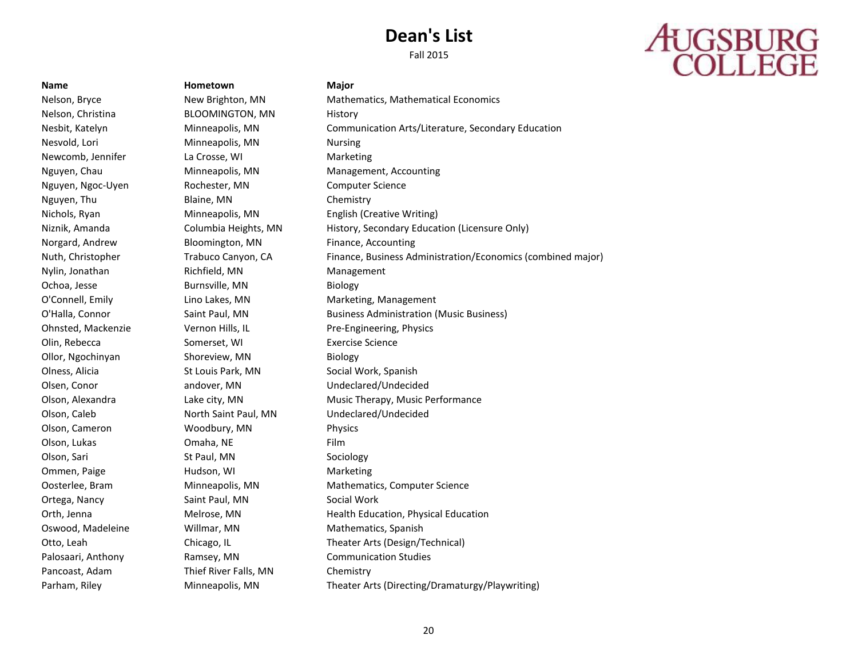# **AUGSBURG**<br>COLLEGE

**Name Hometown Major** Nelson, Christina BLOOMINGTON, MN History Nesvold, Lori Minneapolis, MN Nursing Newcomb, Jennifer La Crosse, WI Marketing Nguyen, Chau Minneapolis, MN Management, Accounting Nguyen, Ngoc-Uyen **Rochester, MN** Computer Science Nguyen, Thu Blaine, MN Chemistry Nichols, Ryan Minneapolis, MN English (Creative Writing) Norgard, Andrew **Bloomington, MN** Finance, Accounting Nylin, Jonathan Richfield, MN Management Ochoa, Jesse Burnsville, MN Biology O'Connell, Emily Lino Lakes, MN Marketing, Management Ohnsted, Mackenzie Vernon Hills, IL Pre-Engineering, Physics Olin, Rebecca Somerset, WI Exercise Science Ollor, Ngochinyan Shoreview, MN Biology Olness, Alicia **St Louis Park, MN** Social Work, Spanish Olsen, Conor andover, MN Undeclared/Undecided Olson, Caleb North Saint Paul, MN Undeclared/Undecided Olson, Cameron Woodbury, MN Physics Olson, Lukas **Omaha, NE** Film Olson, Sari St Paul, MN Sociology Ommen, Paige **Hudson, WI** Marketing Ortega, Nancy Saint Paul, MN Social Work Oswood, Madeleine **Millmar, MN** Mathematics, Spanish Palosaari, Anthony Ramsey, MN Communication Studies Pancoast, Adam Thief River Falls, MN Chemistry

Nelson, Bryce New Brighton, MN Mathematics, Mathematical Economics Nesbit, Katelyn Minneapolis, MN Communication Arts/Literature, Secondary Education Niznik, Amanda Columbia Heights, MN History, Secondary Education (Licensure Only) Nuth, Christopher Trabuco Canyon, CA Finance, Business Administration/Economics (combined major) O'Halla, Connor **Saint Paul, MN** Business Administration (Music Business) Olson, Alexandra Lake city, MN Music Therapy, Music Performance Oosterlee, Bram Minneapolis, MN Mathematics, Computer Science Orth, Jenna Melrose, MN Health Education, Physical Education Otto, Leah Chicago, IL Theater Arts (Design/Technical) Parham, Riley **Minneapolis, MN Theater Arts (Directing/Dramaturgy/Playwriting)**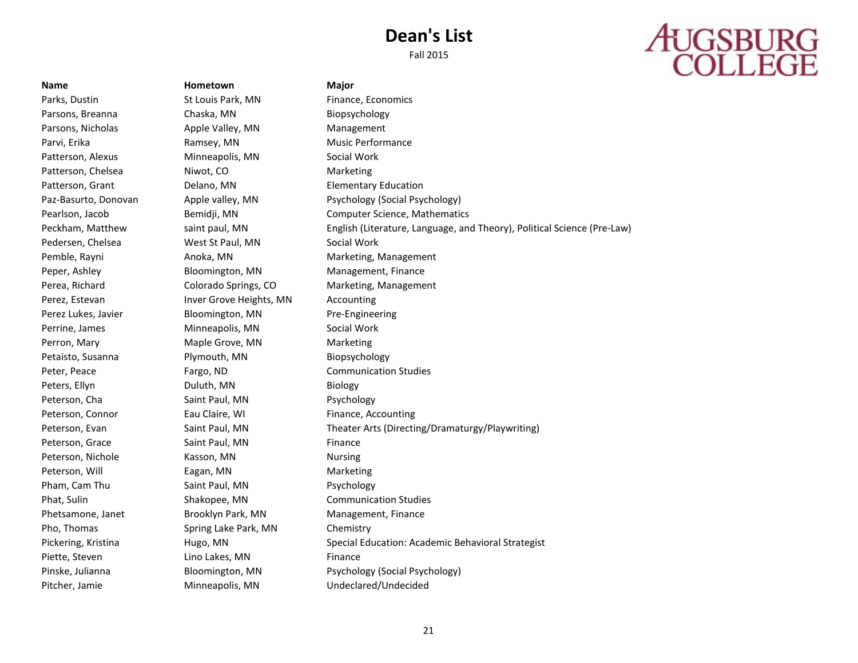# **AUGSBURG**<br>COLLEGE

### **Name Hometown Major**

Parks, Dustin **St Louis Park, MN** Finance, Economics

Parsons, Breanna **Chaska, MN** Biopsychology Parsons, Nicholas **Apple Valley, MN** Management Parvi, Erika **Ramsey, MN** Music Performance Patterson, Alexus **Minneapolis, MN** Social Work Patterson, Chelsea Niwot, CO Marketing Patterson, Grant **Delano, MN** Elementary Education Pedersen, Chelsea **West St Paul, MN** Social Work Peper, Ashley **Bloomington, MN** Management, Finance Perez, Estevan **Inver Grove Heights, MN** Accounting Perez Lukes, Javier **Bloomington, MN** Pre-Engineering Perrine, James Minneapolis, MN Social Work Perron, Mary **Maple Grove, MN** Marketing Petaisto, Susanna **Plymouth, MN** Biopsychology Peter, Peace **Fargo, ND** Communication Studies Peters, Ellyn **Duluth, MN** Biology Peterson, Cha Saint Paul, MN Psychology Peterson, Connor **Eau Claire, WI** Eau Claire, WI Finance, Accounting Peterson, Grace Saint Paul, MN Finance Peterson, Nichole Kasson, MN Nursing Peterson, Will **Eagan, MN** Eagan, MN Pham, Cam Thu Saint Paul, MN Psychology Phat, Sulin Shakopee, MN Communication Studies Phetsamone, Janet **Brooklyn Park, MN** Management, Finance Pho, Thomas Spring Lake Park, MN Chemistry Piette, Steven **Einance** Lino Lakes, MN Finance Pitcher, Jamie Minneapolis, MN Undeclared/Undecided

Paz-Basurto, Donovan Apple valley, MN Psychology (Social Psychology) Pearlson, Jacob Bemidji, MN Computer Science, Mathematics Peckham, Matthew saint paul, MN English (Literature, Language, and Theory), Political Science (Pre-Law) Pemble, Rayni **Anoka, MN** Marketing, Management Perea, Richard Colorado Springs, CO Marketing, Management Peterson, Evan Saint Paul, MN Theater Arts (Directing/Dramaturgy/Playwriting) Pickering, Kristina **Hugo, MN** Special Education: Academic Behavioral Strategist Pinske, Julianna **Bloomington, MN** Psychology (Social Psychology)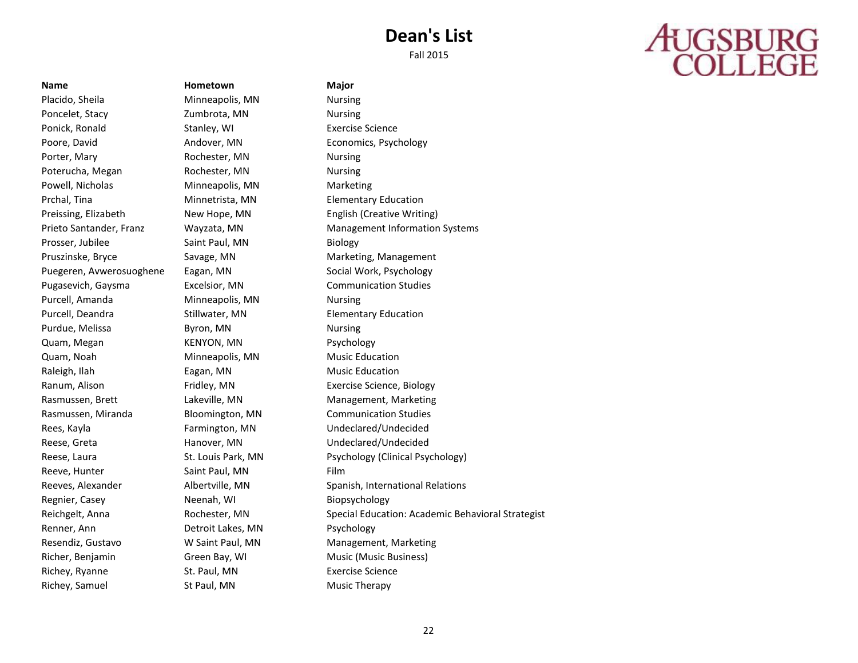## **AUGSBURG**<br>COLLEGE

### **Name Hometown Major**

Placido, Sheila **Minneapolis, MN** Nursing Poncelet, Stacy **Example 20** Zumbrota, MN Nursing Ponick, Ronald Stanley, WI Exercise Science Poore, David **Andover, MN** Economics, Psychology Porter, Mary **Rochester, MN** Nursing Poterucha, Megan Rochester, MN Nursing Powell, Nicholas Minneapolis, MN Marketing Prchal, Tina **Minnetrista, MN** Elementary Education Preissing, Elizabeth New Hope, MN English (Creative Writing) Prosser, Jubilee Saint Paul, MN Biology Pruszinske, Bryce Savage, MN Marketing, Management Puegeren, Avwerosuoghene Eagan, MN Social Work, Psychology Pugasevich, Gaysma Excelsior, MN Communication Studies Purcell, Amanda **Minneapolis, MN** Nursing Purcell, Deandra **Stillwater, MN** Elementary Education Purdue, Melissa Byron, MN Nursing Quam, Megan KENYON, MN Psychology Quam, Noah Minneapolis, MN Music Education Raleigh, Ilah **Eagan, MN** Eagan, MN Music Education Ranum, Alison **Fridley, MN** Exercise Science, Biology Rasmussen, Brett **Lakeville, MN** Management, Marketing Rasmussen, Miranda Bloomington, MN Communication Studies Rees, Kayla Farmington, MN Undeclared/Undecided Reese, Greta Hanover, MN Undeclared/Undecided Reeve, Hunter Saint Paul, MN Film Regnier, Casey **Neenah, WI Biopsychology** Regnier, Casey Renner, Ann **Detroit Lakes, MN** Psychology Resendiz, Gustavo W Saint Paul, MN Management, Marketing Richer, Benjamin Green Bay, WI Music (Music Business) Richey, Ryanne St. Paul, MN Exercise Science Richey, Samuel **St Paul, MN** Music Therapy

Prieto Santander, Franz Wayzata, MN Management Information Systems Reese, Laura **St. Louis Park, MN** Psychology (Clinical Psychology) Reeves, Alexander **Albertville, MN** Spanish, International Relations Reichgelt, Anna **Rochester, MN** Special Education: Academic Behavioral Strategist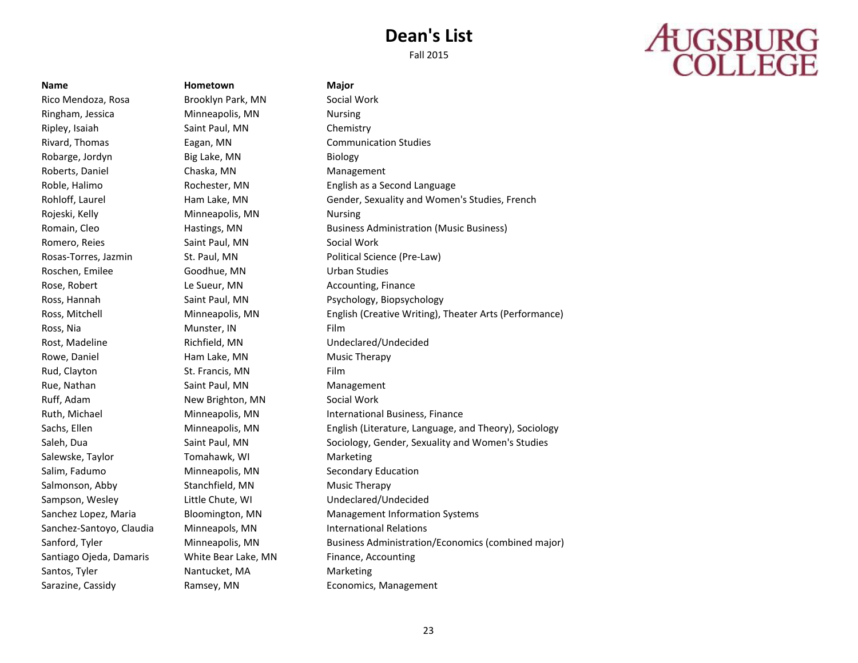# **AUGSBURG**<br>COLLEGE

Rico Mendoza, Rosa Brooklyn Park, MN Social Work Ringham, Jessica Minneapolis, MN Nursing Ripley, Isaiah Saint Paul, MN Chemistry Rivard, Thomas Eagan, MN Communication Studies Robarge, Jordyn Big Lake, MN Biology Roberts, Daniel Chaska, MN Management Rojeski, Kelly **Minneapolis, MN** Nursing Romero, Reies **Saint Paul, MN** Social Work Roschen, Emilee Goodhue, MN Urban Studies Rose, Robert **Le Sueur, MN** Accounting, Finance Ross, Nia **Munster**, IN Film Rost, Madeline **Richfield, MN** Undeclared/Undecided Rowe, Daniel **Ham Lake, MN** Music Therapy Rud, Clayton St. Francis, MN Film Rue, Nathan Saint Paul, MN Management Ruff, Adam New Brighton, MN Social Work Salewske, Taylor Tomahawk, WI Marketing Salim, Fadumo **Minneapolis, MN** Secondary Education Salmonson, Abby Stanchfield, MN Music Therapy Sampson, Wesley **Little Chute, WI Channel Chute, WI** Undeclared/Undecided Sanchez-Santoyo, Claudia Minneapols, MN International Relations Santiago Ojeda, Damaris White Bear Lake, MN Finance, Accounting Santos, Tyler **Nantucket, MA** Marketing Sarazine, Cassidy **Ramsey, MN** Economics, Management

**Name Hometown Major**

Roble, Halimo **Rochester, MN** English as a Second Language Rohloff, Laurel Ham Lake, MN Gender, Sexuality and Women's Studies, French Romain, Cleo **Hastings, MN** Business Administration (Music Business) **Hastings**, MN Rosas-Torres, Jazmin St. Paul, MN Political Science (Pre-Law) Ross, Hannah **Saint Paul, MN Paul, Paul** Psychology, Biopsychology Ross, Mitchell Minneapolis, MN English (Creative Writing), Theater Arts (Performance) Ruth, Michael **Minneapolis, MN** International Business, Finance Sachs, Ellen Minneapolis, MN English (Literature, Language, and Theory), Sociology Saleh, Dua Saint Paul, MN Sociology, Gender, Sexuality and Women's Studies Sanchez Lopez, Maria Bloomington, MN Management Information Systems Sanford, Tyler **Minneapolis, MN** Business Administration/Economics (combined major)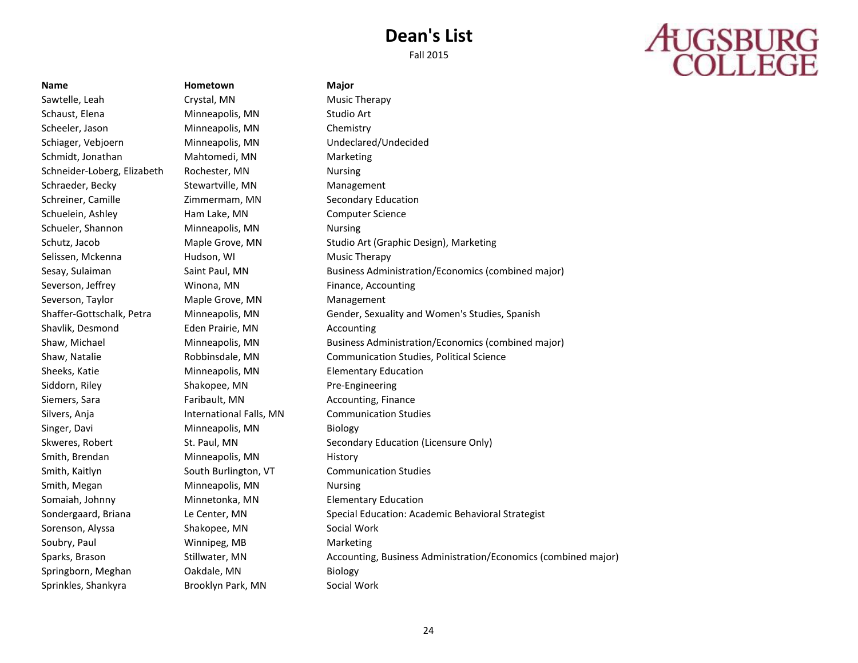# **AUGSBURG**<br>COLLEGE

Sprinkles, Shankyra Brooklyn Park, MN Social Work

**Name Hometown Major** Sawtelle, Leah Crystal, MN Music Therapy Schaust, Elena **Minneapolis, MN** Studio Art Scheeler, Jason Minneapolis, MN Chemistry Schiager, Vebjoern Minneapolis, MN Undeclared/Undecided Schmidt, Jonathan Mahtomedi, MN Marketing Schneider-Loberg, Elizabeth Rochester, MN Nursing Schraeder, Becky Stewartville, MN Management Schreiner, Camille Zimmermam, MN Secondary Education Schuelein, Ashley Ham Lake, MN Computer Science Schueler, Shannon Minneapolis, MN Nursing Selissen, Mckenna **Hudson, WI Music Therapy** Severson, Jeffrey **Winona, MN** Finance, Accounting Severson, Taylor **Maple Grove, MN** Management Shavlik, Desmond Eden Prairie, MN Accounting Sheeks, Katie Minneapolis, MN Elementary Education Siddorn, Riley **Shakopee, MN** Pre-Engineering Siemers, Sara Faribault, MN Accounting, Finance Silvers, Anja **International Falls, MN** Communication Studies Singer, Davi **Minneapolis, MN** Biology Smith, Brendan Minneapolis, MN History Smith, Kaitlyn **South Burlington, VT** Communication Studies Smith, Megan Minneapolis, MN Nursing Somaiah, Johnny Minnetonka, MN Elementary Education Sorenson, Alyssa Shakopee, MN Social Work Soubry, Paul **Winnipeg, MB** Marketing Springborn, Meghan **Oakdale, MN** Biology

Schutz, Jacob **Maple Grove, MN** Studio Art (Graphic Design), Marketing Sesay, Sulaiman Saint Paul, MN Business Administration/Economics (combined major) Shaffer-Gottschalk, Petra Minneapolis, MN Gender, Sexuality and Women's Studies, Spanish Shaw, Michael Minneapolis, MN Business Administration/Economics (combined major) Shaw, Natalie Robbinsdale, MN Communication Studies, Political Science Skweres, Robert **St. Paul, MN** Secondary Education (Licensure Only) Sondergaard, Briana Le Center, MN Special Education: Academic Behavioral Strategist Sparks, Brason Stillwater, MN Accounting, Business Administration/Economics (combined major)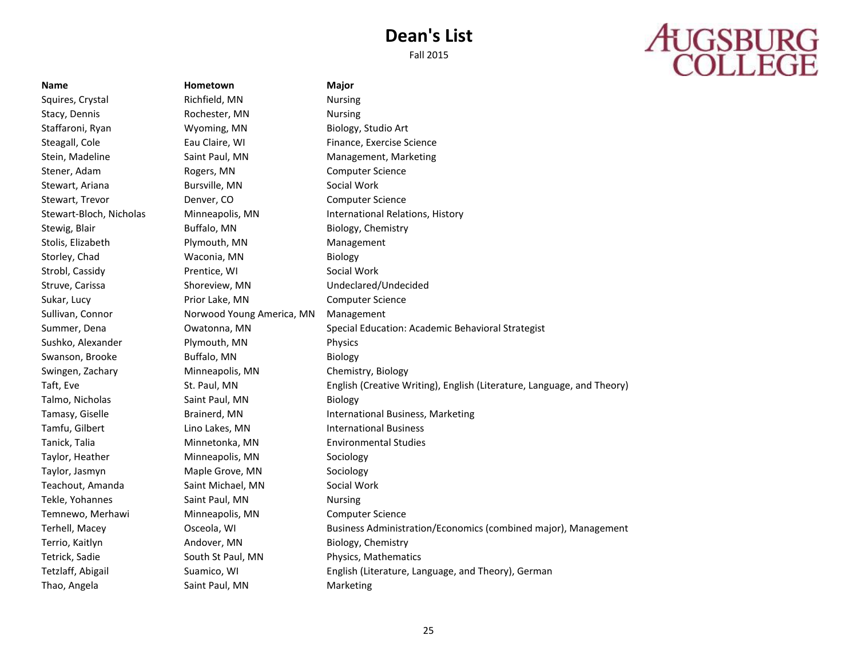Fall 2015

## **AUGSBURG**<br>COLLEGE

**Name Hometown Major** Squires, Crystal **Richfield, MN** Nursing Stacy, Dennis **Rochester, MN** Nursing Staffaroni, Ryan Wyoming, MN Biology, Studio Art Steagall, Cole **Eau Claire, WI** Finance, Exercise Science Stein, Madeline Saint Paul, MN Management, Marketing Stener, Adam Rogers, MN Computer Science Stewart, Ariana **Bursville, MN** Social Work Stewart, Trevor **Computer Science** Denver, CO Computer Science Stewart-Bloch, Nicholas Minneapolis, MN International Relations, History Stewig, Blair **Buffalo, MN** Buffalo, MN Biology, Chemistry Stolis, Elizabeth **Plymouth, MN** Management Storley, Chad **Waconia, MN** Biology Strobl, Cassidy **Prentice, WI** Social Work Struve, Carissa Shoreview, MN Undeclared/Undecided Sukar, Lucy **Prior Lake, MN** Computer Science Sullivan, Connor Norwood Young America, MN Management Summer, Dena Owatonna, MN Special Education: Academic Behavioral Strategist Sushko, Alexander Plymouth, MN Physics Swanson, Brooke Buffalo, MN Biology Swingen, Zachary Minneapolis, MN Chemistry, Biology Taft, Eve St. Paul, MN English (Creative Writing), English (Literature, Language, and Theory) Talmo, Nicholas Saint Paul, MN Biology Tamasy, Giselle **Brainerd, MN** International Business, Marketing Tamfu, Gilbert **Lino Lakes, MN** International Business Tanick, Talia Minnetonka, MN Environmental Studies Taylor, Heather Minneapolis, MN Sociology Taylor, Jasmyn Maple Grove, MN Sociology Teachout, Amanda Saint Michael, MN Social Work Tekle, Yohannes Saint Paul, MN Nursing Temnewo, Merhawi Minneapolis, MN Computer Science Terhell, Macey Osceola, WI Business Administration/Economics (combined major), Management Terrio, Kaitlyn Andover, MN Biology, Chemistry Tetrick, Sadie South St Paul, MN Physics, Mathematics Tetzlaff, Abigail Suamico, WI English (Literature, Language, and Theory), German Thao, Angela Saint Paul, MN Marketing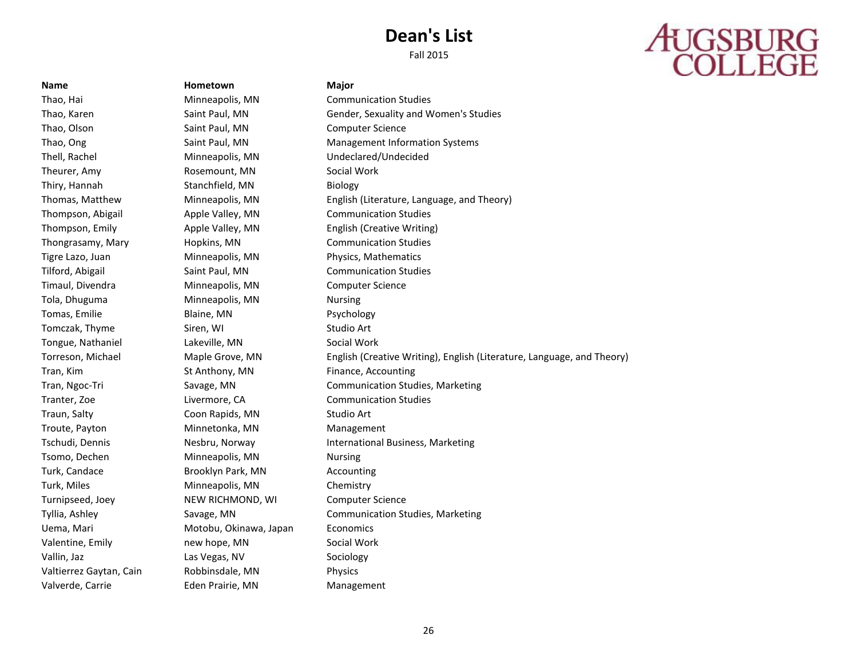Fall 2015

# **AUGSBURG**<br>COLLEGE

**Name Hometown Major** Thao, Hai **Minneapolis, MN** Communication Studies Thao, Olson Saint Paul, MN Computer Science Thell, Rachel Minneapolis, MN Undeclared/Undecided Theurer, Amy **Rosemount, MN** Social Work Thiry, Hannah Stanchfield, MN Biology Thompson, Abigail Apple Valley, MN Communication Studies Thongrasamy, Mary Hopkins, MN Communication Studies Tigre Lazo, Juan Minneapolis, MN Physics, Mathematics Tilford, Abigail Saint Paul, MN Communication Studies Timaul, Divendra Minneapolis, MN Computer Science Tola, Dhuguma Minneapolis, MN Nursing Tomas, Emilie Blaine, MN Psychology Tomczak, Thyme Siren, WI Studio Art Tongue, Nathaniel **Lakeville, MN** Social Work Tran, Kim St Anthony, MN Finance, Accounting Tranter, Zoe Livermore, CA Communication Studies Traun, Salty **Coon Rapids, MN** Studio Art Troute, Payton **Minnetonka**, MN Management Tsomo, Dechen Minneapolis, MN Nursing Turk, Candace **Brooklyn Park, MN** Accounting Turk, Miles **Minneapolis**, MN Chemistry Turnipseed, Joey **NEW RICHMOND, WI Computer Science** Uema, Mari Motobu, Okinawa, Japan Economics Valentine, Emily **National Accord Process** new hope, MN Social Work Vallin, Jaz **Las Vegas, NV** Sociology Valtierrez Gaytan, Cain Robbinsdale, MN Physics Valverde, Carrie Eden Prairie, MN Management

Thao, Karen Saint Paul, MN Gender, Sexuality and Women's Studies Thao, Ong Saint Paul, MN Management Information Systems Thomas, Matthew Minneapolis, MN English (Literature, Language, and Theory) Thompson, Emily Apple Valley, MN English (Creative Writing) Torreson, Michael Maple Grove, MN English (Creative Writing), English (Literature, Language, and Theory) Tran, Ngoc-Tri Savage, MN Communication Studies, Marketing Tschudi, Dennis **Nesbru, Norway International Business, Marketing** Tyllia, Ashley **Savage, MN** Communication Studies, Marketing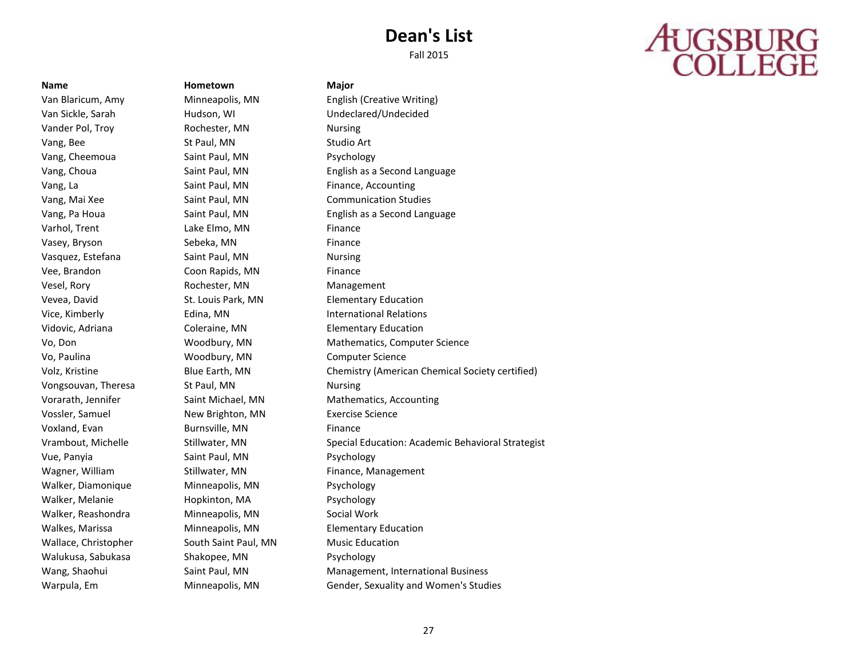Fall 2015

# **AUGSBURG**<br>COLLEGE

Vander Pol, Troy **Rochester, MN** Nursing Vang, Bee St Paul, MN Studio Art Vang, Cheemoua Saint Paul, MN Psychology Vang, La Saint Paul, MN Finance, Accounting Varhol, Trent Lake Elmo, MN Finance Vasey, Bryson Sebeka, MN Finance Vasquez, Estefana Saint Paul, MN Nursing Vee, Brandon **Coon Rapids, MN** Finance Vesel, Rory **Rochester, MN** Management Vevea, David **St. Louis Park, MN** Elementary Education Vidovic, Adriana Coleraine, MN Elementary Education Vo, Paulina **Woodbury, MN** Computer Science Vongsouvan, Theresa St Paul, MN St Paul Mursing Vossler, Samuel New Brighton, MN Exercise Science Voxland, Evan Burnsville, MN Finance Vue, Panyia Saint Paul, MN Psychology Wagner, William **Stillwater, MN** Finance, Management Walker, Diamonique Minneapolis, MN Psychology Walker, Melanie Hopkinton, MA Psychology Walker, Reashondra **Minneapolis, MN** Social Work Walkes, Marissa Minneapolis, MN Elementary Education Wallace, Christopher South Saint Paul, MN Music Education Walukusa, Sabukasa Shakopee, MN Psychology

**Name Hometown Major**

Van Blaricum, Amy Minneapolis, MN English (Creative Writing) Van Sickle, Sarah Hudson, WI Undeclared/Undecided Vang, Choua Saint Paul, MN English as a Second Language Vang, Mai Xee Saint Paul, MN Communication Studies Vang, Pa Houa **Saint Paul, MN** English as a Second Language **State** State State State State State State State State State State State State State State State State State State State State State State State State State Stat Vice, Kimberly Edina, MN International Relations Vo, Don **Mathematics**, Computer Science Woodbury, MN Mathematics, Computer Science Volz, Kristine **Blue Earth, MN** Chemistry (American Chemical Society certified) Vorarath, Jennifer Saint Michael, MN Mathematics, Accounting Vrambout, Michelle Stillwater, MN Special Education: Academic Behavioral Strategist Wang, Shaohui **Saint Paul, MN** Management, International Business **Management** Warpula, Em Minneapolis, MN Gender, Sexuality and Women's Studies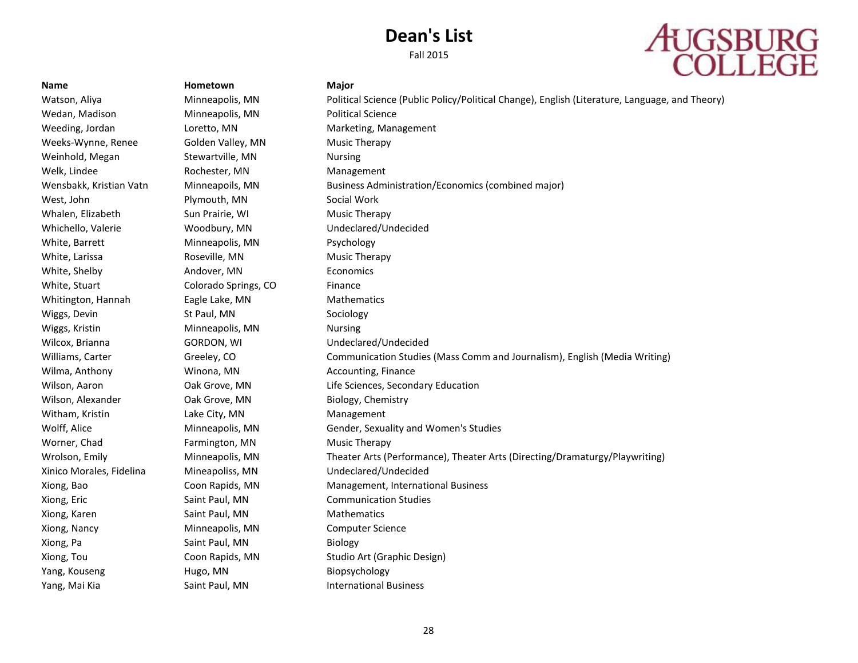

### Wedan, Madison Minneapolis, MN Political Science Weeks-Wynne, Renee Golden Valley, MN Music Therapy Weinhold, Megan Stewartville, MN Nursing Welk, Lindee **Rochester, MN** Management West, John Plymouth, MN Social Work Whalen, Elizabeth Sun Prairie, WI Music Therapy Whichello, Valerie Woodbury, MN Undeclared/Undecided White, Barrett **Minneapolis, MN** Psychology White, Larissa **Roseville, MN** Music Therapy White, Shelby **Andover, MN** Economics White, Stuart **Colorado Springs, CO** Finance Whitington, Hannah Eagle Lake, MN Mathematics Wiggs, Devin St Paul, MN Sociology Wiggs, Kristin **Minneapolis, MN** Nursing Wilcox, Brianna **GORDON, WI CORDON, WI CORDON**, WI CORDON BETWEEN Undeclared/Undecided Wilma, Anthony **Winona, MN** Accounting, Finance Wilson, Alexander **Oak Grove, MN** Biology, Chemistry Witham, Kristin **Lake City, MN** Management Worner, Chad **Farmington, MN** Music Therapy Xinico Morales, Fidelina Mineapoliss, MN Undeclared/Undecided Xiong, Eric **Saint Paul, MN** Communication Studies Xiong, Karen Saint Paul, MN Mathematics Mathematics Xiong, Nancy Minneapolis, MN Computer Science Xiong, Pa Saint Paul, MN Biology Yang, Kouseng The Hugo, MN Biopsychology Yang, Mai Kia **Saint Paul, MN** International Business

**Name Hometown Major** 

Watson, Aliya **Minneapolis, MN** Political Science (Public Policy/Political Change), English (Literature, Language, and Theory) Weeding, Jordan **Loretto, MN** Marketing, Management Wensbakk, Kristian Vatn Minneapoils, MN Business Administration/Economics (combined major) Williams, Carter Greeley, CO Communication Studies (Mass Comm and Journalism), English (Media Writing) Wilson, Aaron Oak Grove, MN Life Sciences, Secondary Education Wolff, Alice **Minneapolis, MN** Gender, Sexuality and Women's Studies Wrolson, Emily Minneapolis, MN Theater Arts (Performance), Theater Arts (Directing/Dramaturgy/Playwriting) Xiong, Bao Coon Rapids, MN Management, International Business Xiong, Tou Coon Rapids, MN Studio Art (Graphic Design)